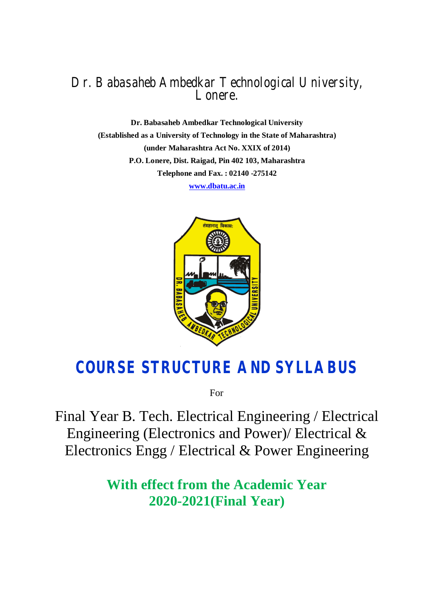## Dr. Babasaheb Ambedkar Technological University, Lonere.

**Dr. Babasaheb Ambedkar Technological University (Established as a University of Technology in the State of Maharashtra) (under Maharashtra Act No. XXIX of 2014) P.O. Lonere, Dist. Raigad, Pin 402 103, Maharashtra Telephone and Fax. : 02140 -275142** 

**www.dbatu.ac.in**



# **COURSE STRUCTURE AND SYLLABUS**

For

Final Year B. Tech. Electrical Engineering / Electrical Engineering (Electronics and Power)/ Electrical & Electronics Engg / Electrical & Power Engineering

> **With effect from the Academic Year 2020-2021(Final Year)**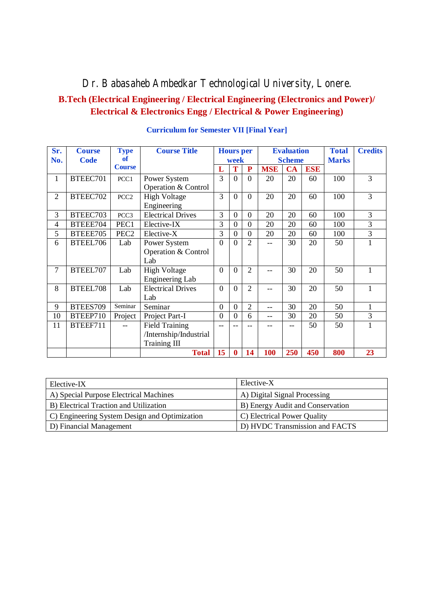## Dr. Babasaheb Ambedkar Technological University, Lonere.

## **B.Tech (Electrical Engineering / Electrical Engineering (Electronics and Power)/ Electrical & Electronics Engg / Electrical & Power Engineering)**

| Sr.<br>No.     | <b>Course</b><br><b>Code</b> | <b>Type</b><br>of | <b>Course Title</b>                 |                  | <b>Hours</b> per<br>week |                             | <b>Evaluation</b><br><b>Scheme</b> |     |            | <b>Total</b><br><b>Marks</b> | <b>Credits</b> |
|----------------|------------------------------|-------------------|-------------------------------------|------------------|--------------------------|-----------------------------|------------------------------------|-----|------------|------------------------------|----------------|
|                |                              | <b>Course</b>     |                                     | L                | T                        | $\mathbf{P}$                | <b>MSE</b>                         | CA  | <b>ESE</b> |                              |                |
| 1              | BTEEC701                     | PCC1              | Power System<br>Operation & Control | 3                | $\Omega$                 | $\Omega$                    | 20                                 | 20  | 60         | 100                          | 3              |
| $\overline{2}$ | BTEEC702                     | PCC <sub>2</sub>  | <b>High Voltage</b><br>Engineering  | 3                | $\Omega$                 | $\Omega$                    | 20                                 | 20  | 60         | 100                          | 3              |
| 3              | BTEEC703                     | PCC3              | <b>Electrical Drives</b>            | 3                | $\theta$                 | $\overline{0}$              | 20                                 | 20  | 60         | 100                          | 3              |
| 4              | BTEEE704                     | PEC1              | Elective-IX                         | 3                | $\overline{0}$           | $\overline{0}$              | 20                                 | 20  | 60         | 100                          | $\overline{3}$ |
| 5              | BTEEE705                     | PEC <sub>2</sub>  | Elective-X                          | 3                | $\theta$                 | $\Omega$                    | 20                                 | 20  | 60         | 100                          | 3              |
| 6              | BTEEL706                     | Lab               | Power System                        | $\Omega$         | $\Omega$                 | $\mathcal{D}_{\mathcal{L}}$ |                                    | 30  | 20         | 50                           |                |
|                |                              |                   | Operation & Control                 |                  |                          |                             |                                    |     |            |                              |                |
|                |                              |                   | Lab                                 |                  |                          |                             |                                    |     |            |                              |                |
| 7              | BTEEL707                     | Lab               | <b>High Voltage</b>                 | $\Omega$         | $\Omega$                 | $\overline{2}$              |                                    | 30  | 20         | 50                           | 1              |
|                |                              |                   | <b>Engineering Lab</b>              |                  |                          |                             |                                    |     |            |                              |                |
| 8              | BTEEL708                     | Lab               | <b>Electrical Drives</b>            | $\Omega$         | $\Omega$                 | $\overline{2}$              |                                    | 30  | 20         | 50                           | 1              |
|                |                              |                   | Lab                                 |                  |                          |                             |                                    |     |            |                              |                |
| 9              | BTEES709                     | Seminar           | Seminar                             | $\boldsymbol{0}$ | $\theta$                 | $\overline{2}$              |                                    | 30  | 20         | 50                           | 1              |
| 10             | BTEEP710                     | Project           | Project Part-I                      | $\overline{0}$   | $\theta$                 | 6                           | $-$                                | 30  | 20         | 50                           | 3              |
| 11             | BTEEF711                     | $\overline{a}$    | <b>Field Training</b>               | $-$              |                          |                             |                                    | --  | 50         | 50                           |                |
|                |                              |                   | /Internship/Industrial              |                  |                          |                             |                                    |     |            |                              |                |
|                |                              |                   | Training III                        |                  |                          |                             |                                    |     |            |                              |                |
|                |                              |                   | <b>Total</b>                        | 15               | $\bf{0}$                 | 14                          | <b>100</b>                         | 250 | 450        | 800                          | 23             |

#### **Curriculum for Semester VII [Final Year]**

| Elective-IX                                   | Elective-X                       |
|-----------------------------------------------|----------------------------------|
| A) Special Purpose Electrical Machines        | A) Digital Signal Processing     |
| B) Electrical Traction and Utilization        | B) Energy Audit and Conservation |
| C) Engineering System Design and Optimization | C) Electrical Power Quality      |
| D) Financial Management                       | D) HVDC Transmission and FACTS   |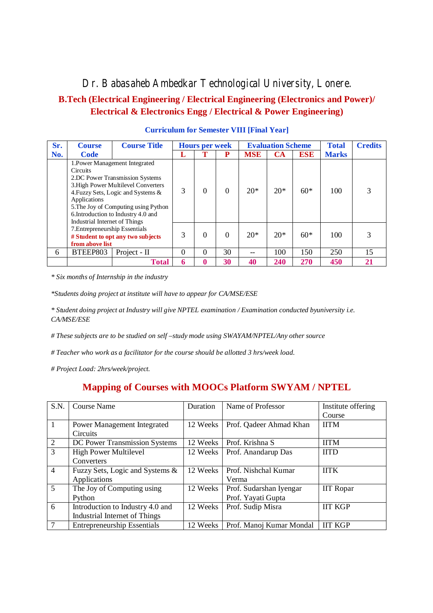Dr. Babasaheb Ambedkar Technological University, Lonere.

## **B.Tech (Electrical Engineering / Electrical Engineering (Electronics and Power)/ Electrical & Electronics Engg / Electrical & Power Engineering)**

| Sr. | <b>Course</b>                                                    | <b>Course Title</b>                                                                                                                                                                                                           | <b>Hours per week</b> |          |          | <b>Evaluation Scheme</b> |            |            | <b>Total</b> | <b>Credits</b> |
|-----|------------------------------------------------------------------|-------------------------------------------------------------------------------------------------------------------------------------------------------------------------------------------------------------------------------|-----------------------|----------|----------|--------------------------|------------|------------|--------------|----------------|
| No. | Code                                                             |                                                                                                                                                                                                                               |                       |          | P        | <b>MSE</b>               | <b>CA</b>  | <b>ESE</b> | <b>Marks</b> |                |
|     | <b>Circuits</b><br>Applications<br>Industrial Internet of Things | 1. Power Management Integrated<br>2.DC Power Transmission Systems<br>3. High Power Multilevel Converters<br>4. Fuzzy Sets, Logic and Systems &<br>5. The Joy of Computing using Python<br>6. Introduction to Industry 4.0 and | 3                     |          | 0        | $20*$                    | $20*$      | $60*$      | 100          |                |
|     | 7. Entrepreneurship Essentials<br>from above list                | # Student to opt any two subjects                                                                                                                                                                                             | 3                     | $\Omega$ | $\Omega$ | $20*$                    | $20*$      | $60*$      | 100          |                |
| 6   | BTEEP803                                                         | Project - II                                                                                                                                                                                                                  | 0                     | $\Omega$ | 30       | --                       | 100        | 150        | 250          | 15             |
|     |                                                                  | <b>Total</b>                                                                                                                                                                                                                  | 6                     |          | 30       | 40                       | <b>240</b> | <b>270</b> | 450          | 21             |

| <b>Curriculum for Semester VIII [Final Year]</b> |  |  |  |
|--------------------------------------------------|--|--|--|
|                                                  |  |  |  |

*\* Six months of Internship in the industry*

*\*Students doing project at institute will have to appear for CA/MSE/ESE*

*\* Student doing project at Industry will give NPTEL examination / Examination conducted byuniversity i.e. CA/MSE/ESE* 

*# These subjects are to be studied on self –study mode using SWAYAM/NPTEL/Any other source*

*# Teacher who work as a facilitator for the course should be allotted 3 hrs/week load.* 

*# Project Load: 2hrs/week/project.*

## **Mapping of Courses with MOOCs Platform SWYAM / NPTEL**

| S.N.           | <b>Course Name</b>                 | Duration | Name of Professor        | Institute offering |
|----------------|------------------------------------|----------|--------------------------|--------------------|
|                |                                    |          |                          | Course             |
| $\mathbf{1}$   | Power Management Integrated        | 12 Weeks | Prof. Qadeer Ahmad Khan  | <b>IITM</b>        |
|                | Circuits                           |          |                          |                    |
| $\overline{2}$ | DC Power Transmission Systems      | 12 Weeks | Prof. Krishna S          | <b>IITM</b>        |
| 3              | High Power Multilevel              | 12 Weeks | Prof. Anandarup Das      | <b>IITD</b>        |
|                | Converters                         |          |                          |                    |
| $\overline{4}$ | Fuzzy Sets, Logic and Systems &    | 12 Weeks | Prof. Nishchal Kumar     | <b>IITK</b>        |
|                | Applications                       |          | Verma                    |                    |
| $\overline{5}$ | The Joy of Computing using         | 12 Weeks | Prof. Sudarshan Iyengar  | <b>IIT Ropar</b>   |
|                | Python                             |          | Prof. Yayati Gupta       |                    |
| 6              | Introduction to Industry 4.0 and   | 12 Weeks | Prof. Sudip Misra        | <b>IIT KGP</b>     |
|                | Industrial Internet of Things      |          |                          |                    |
|                | <b>Entrepreneurship Essentials</b> | 12 Weeks | Prof. Manoj Kumar Mondal | <b>IIT KGP</b>     |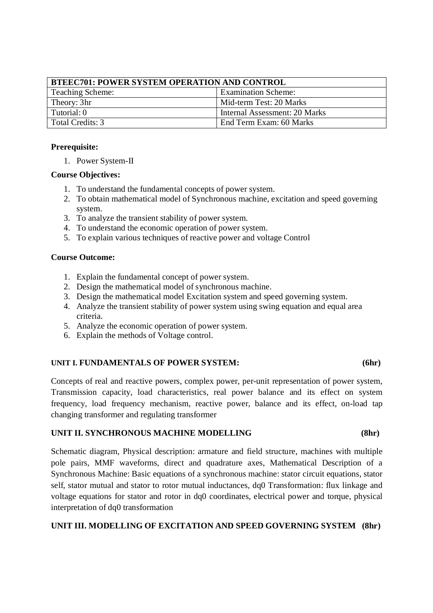| <b>BTEEC701: POWER SYSTEM OPERATION AND CONTROL</b> |                               |  |  |  |
|-----------------------------------------------------|-------------------------------|--|--|--|
| Teaching Scheme:                                    | <b>Examination Scheme:</b>    |  |  |  |
| Theory: 3hr                                         | Mid-term Test: 20 Marks       |  |  |  |
| Tutorial: 0                                         | Internal Assessment: 20 Marks |  |  |  |
| Total Credits: 3                                    | End Term Exam: 60 Marks       |  |  |  |

#### **Prerequisite:**

1. Power System-II

#### **Course Objectives:**

- 1. To understand the fundamental concepts of power system.
- 2. To obtain mathematical model of Synchronous machine, excitation and speed governing system.
- 3. To analyze the transient stability of power system.
- 4. To understand the economic operation of power system.
- 5. To explain various techniques of reactive power and voltage Control

#### **Course Outcome:**

- 1. Explain the fundamental concept of power system.
- 2. Design the mathematical model of synchronous machine.
- 3. Design the mathematical model Excitation system and speed governing system.
- 4. Analyze the transient stability of power system using swing equation and equal area criteria.
- 5. Analyze the economic operation of power system.
- 6. Explain the methods of Voltage control.

#### **UNIT I. FUNDAMENTALS OF POWER SYSTEM: (6hr)**

Concepts of real and reactive powers, complex power, per-unit representation of power system, Transmission capacity, load characteristics, real power balance and its effect on system frequency, load frequency mechanism, reactive power, balance and its effect, on-load tap changing transformer and regulating transformer

### **UNIT II. SYNCHRONOUS MACHINE MODELLING (8hr)**

Schematic diagram, Physical description: armature and field structure, machines with multiple pole pairs, MMF waveforms, direct and quadrature axes, Mathematical Description of a Synchronous Machine: Basic equations of a synchronous machine: stator circuit equations, stator self, stator mutual and stator to rotor mutual inductances, dq0 Transformation: flux linkage and voltage equations for stator and rotor in dq0 coordinates, electrical power and torque, physical interpretation of dq0 transformation

### **UNIT III. MODELLING OF EXCITATION AND SPEED GOVERNING SYSTEM (8hr)**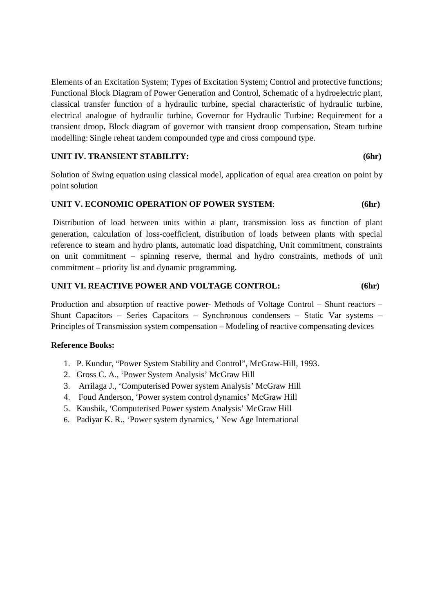Elements of an Excitation System; Types of Excitation System; Control and protective functions; Functional Block Diagram of Power Generation and Control, Schematic of a hydroelectric plant, classical transfer function of a hydraulic turbine, special characteristic of hydraulic turbine, electrical analogue of hydraulic turbine, Governor for Hydraulic Turbine: Requirement for a transient droop, Block diagram of governor with transient droop compensation, Steam turbine modelling: Single reheat tandem compounded type and cross compound type.

#### **UNIT IV. TRANSIENT STABILITY: (6hr)**

Solution of Swing equation using classical model, application of equal area creation on point by point solution

#### **UNIT V. ECONOMIC OPERATION OF POWER SYSTEM**: **(6hr)**

Distribution of load between units within a plant, transmission loss as function of plant generation, calculation of loss-coefficient, distribution of loads between plants with special reference to steam and hydro plants, automatic load dispatching, Unit commitment, constraints on unit commitment – spinning reserve, thermal and hydro constraints, methods of unit commitment – priority list and dynamic programming.

#### **UNIT VI. REACTIVE POWER AND VOLTAGE CONTROL: (6hr)**

Production and absorption of reactive power- Methods of Voltage Control – Shunt reactors – Shunt Capacitors – Series Capacitors – Synchronous condensers – Static Var systems – Principles of Transmission system compensation – Modeling of reactive compensating devices

#### **Reference Books:**

- 1. P. Kundur, "Power System Stability and Control", McGraw-Hill, 1993.
- 2. Gross C. A., 'Power System Analysis' McGraw Hill
- 3. Arrilaga J., 'Computerised Power system Analysis' McGraw Hill
- 4. Foud Anderson, 'Power system control dynamics' McGraw Hill
- 5. Kaushik, 'Computerised Power system Analysis' McGraw Hill
- 6. Padiyar K. R., 'Power system dynamics, ' New Age International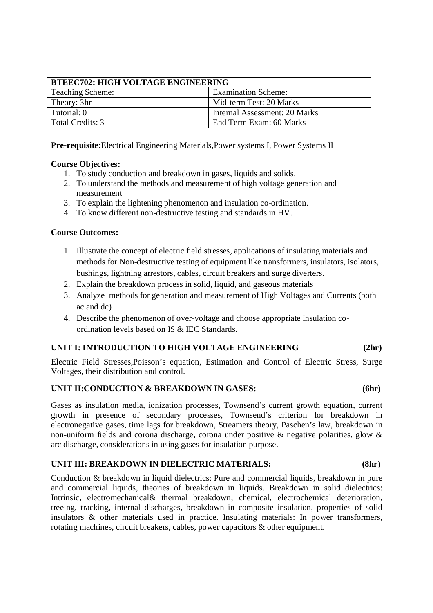| <b>BTEEC702: HIGH VOLTAGE ENGINEERING</b> |                               |  |  |  |
|-------------------------------------------|-------------------------------|--|--|--|
| <b>Teaching Scheme:</b>                   | <b>Examination Scheme:</b>    |  |  |  |
| Theory: 3hr                               | Mid-term Test: 20 Marks       |  |  |  |
| Tutorial: 0                               | Internal Assessment: 20 Marks |  |  |  |
| Total Credits: 3                          | End Term Exam: 60 Marks       |  |  |  |

**Pre-requisite:**Electrical Engineering Materials,Power systems I, Power Systems II

#### **Course Objectives:**

- 1. To study conduction and breakdown in gases, liquids and solids.
- 2. To understand the methods and measurement of high voltage generation and measurement
- 3. To explain the lightening phenomenon and insulation co-ordination.
- 4. To know different non-destructive testing and standards in HV.

#### **Course Outcomes:**

- 1. Illustrate the concept of electric field stresses, applications of insulating materials and methods for Non-destructive testing of equipment like transformers, insulators, isolators, bushings, lightning arrestors, cables, circuit breakers and surge diverters.
- 2. Explain the breakdown process in solid, liquid, and gaseous materials
- 3. Analyze methods for generation and measurement of High Voltages and Currents (both ac and dc)
- 4. Describe the phenomenon of over-voltage and choose appropriate insulation coordination levels based on IS & IEC Standards.

#### **UNIT I: INTRODUCTION TO HIGH VOLTAGE ENGINEERING (2hr)**

Electric Field Stresses,Poisson's equation, Estimation and Control of Electric Stress, Surge Voltages, their distribution and control.

#### **UNIT II:CONDUCTION & BREAKDOWN IN GASES: (6hr)**

Gases as insulation media, ionization processes, Townsend's current growth equation, current growth in presence of secondary processes, Townsend's criterion for breakdown in electronegative gases, time lags for breakdown, Streamers theory, Paschen's law, breakdown in non-uniform fields and corona discharge, corona under positive & negative polarities, glow & arc discharge, considerations in using gases for insulation purpose.

#### **UNIT III: BREAKDOWN IN DIELECTRIC MATERIALS: (8hr)**

Conduction & breakdown in liquid dielectrics: Pure and commercial liquids, breakdown in pure and commercial liquids, theories of breakdown in liquids. Breakdown in solid dielectrics: Intrinsic, electromechanical& thermal breakdown, chemical, electrochemical deterioration, treeing, tracking, internal discharges, breakdown in composite insulation, properties of solid insulators & other materials used in practice. Insulating materials: In power transformers, rotating machines, circuit breakers, cables, power capacitors & other equipment.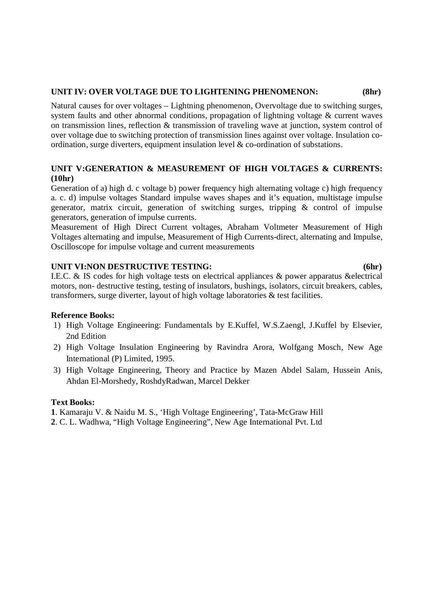#### **UNIT IV: OVER VOLTAGE DUE TO LIGHTENING PHENOMENON: (8hr)**

Natural causes for over voltages – Lightning phenomenon, Overvoltage due to switching surges, system faults and other abnormal conditions, propagation of lightning voltage & current waves on transmission lines, reflection & transmission of traveling wave at junction, system control of over voltage due to switching protection of transmission lines against over voltage. Insulation coordination, surge diverters, equipment insulation level & co-ordination of substations.

### **UNIT V:GENERATION & MEASUREMENT OF HIGH VOLTAGES & CURRENTS: (10hr)**

Generation of a) high d. c voltage b) power frequency high alternating voltage c) high frequency a. c. d) impulse voltages Standard impulse waves shapes and it's equation, multistage impulse generator, matrix circuit, generation of switching surges, tripping & control of impulse generators, generation of impulse currents.

Measurement of High Direct Current voltages, Abraham Voltmeter Measurement of High Voltages alternating and impulse, Measurement of High Currents-direct, alternating and Impulse, Oscilloscope for impulse voltage and current measurements

#### **UNIT VI:NON DESTRUCTIVE TESTING: (6hr)**

I.E.C. & IS codes for high voltage tests on electrical appliances & power apparatus &electrical motors, non- destructive testing, testing of insulators, bushings, isolators, circuit breakers, cables, transformers, surge diverter, layout of high voltage laboratories & test facilities.

#### **Reference Books:**

- 1) High Voltage Engineering: Fundamentals by E.Kuffel, W.S.Zaengl, J.Kuffel by Elsevier, 2nd Edition
- 2) High Voltage Insulation Engineering by Ravindra Arora, Wolfgang Mosch, New Age International (P) Limited, 1995.
- 3) High Voltage Engineering, Theory and Practice by Mazen Abdel Salam, Hussein Anis, Ahdan El-Morshedy, RoshdyRadwan, Marcel Dekker

#### **Text Books:**

- **1**. Kamaraju V. & Naidu M. S., 'High Voltage Engineering', Tata-McGraw Hill
- **2**. C. L. Wadhwa, "High Voltage Engineering", New Age International Pvt. Ltd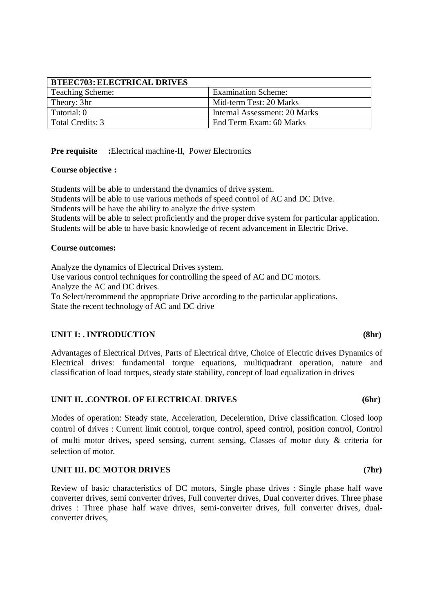| <b>BTEEC703: ELECTRICAL DRIVES</b> |                               |
|------------------------------------|-------------------------------|
| <b>Teaching Scheme:</b>            | <b>Examination Scheme:</b>    |
| Theory: 3hr                        | Mid-term Test: 20 Marks       |
| Tutorial: 0                        | Internal Assessment: 20 Marks |
| Total Credits: 3                   | End Term Exam: 60 Marks       |

**Pre requisite** : Electrical machine-II, Power Electronics

#### **Course objective :**

Students will be able to understand the dynamics of drive system. Students will be able to use various methods of speed control of AC and DC Drive. Students will be have the ability to analyze the drive system Students will be able to select proficiently and the proper drive system for particular application. Students will be able to have basic knowledge of recent advancement in Electric Drive.

#### **Course outcomes:**

Analyze the dynamics of Electrical Drives system. Use various control techniques for controlling the speed of AC and DC motors. Analyze the AC and DC drives. To Select/recommend the appropriate Drive according to the particular applications. State the recent technology of AC and DC drive

#### UNIT I: . INTRODUCTION (8hr)

Advantages of Electrical Drives, Parts of Electrical drive, Choice of Electric drives Dynamics of Electrical drives: fundamental torque equations, multiquadrant operation, nature and classification of load torques, steady state stability, concept of load equalization in drives

#### UNIT II. .CONTROL OF ELECTRICAL DRIVES (6hr)

Modes of operation: Steady state, Acceleration, Deceleration, Drive classification. Closed loop control of drives : Current limit control, torque control, speed control, position control, Control of multi motor drives, speed sensing, current sensing, Classes of motor duty & criteria for selection of motor.

#### **UNIT III. DC MOTOR DRIVES (7hr)**

Review of basic characteristics of DC motors, Single phase drives : Single phase half wave converter drives, semi converter drives, Full converter drives, Dual converter drives. Three phase drives : Three phase half wave drives, semi-converter drives, full converter drives, dualconverter drives,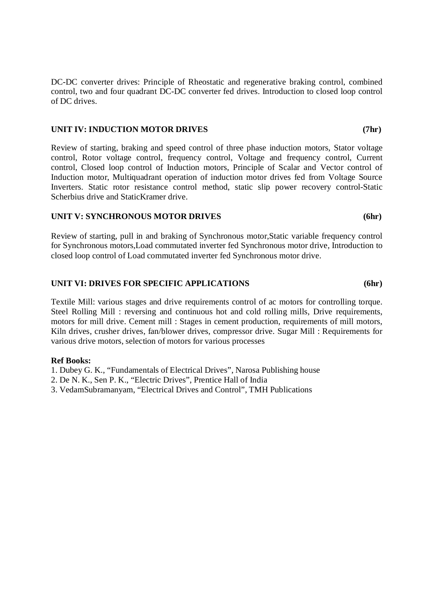DC-DC converter drives: Principle of Rheostatic and regenerative braking control, combined control, two and four quadrant DC-DC converter fed drives. Introduction to closed loop control of DC drives.

#### **UNIT IV: INDUCTION MOTOR DRIVES (7hr)**

Review of starting, braking and speed control of three phase induction motors, Stator voltage control, Rotor voltage control, frequency control, Voltage and frequency control, Current control, Closed loop control of Induction motors, Principle of Scalar and Vector control of Induction motor, Multiquadrant operation of induction motor drives fed from Voltage Source Inverters. Static rotor resistance control method, static slip power recovery control-Static Scherbius drive and StaticKramer drive.

#### **UNIT V: SYNCHRONOUS MOTOR DRIVES (6hr)**

Review of starting, pull in and braking of Synchronous motor,Static variable frequency control for Synchronous motors,Load commutated inverter fed Synchronous motor drive, Introduction to closed loop control of Load commutated inverter fed Synchronous motor drive.

#### **UNIT VI: DRIVES FOR SPECIFIC APPLICATIONS (6hr)**

Textile Mill: various stages and drive requirements control of ac motors for controlling torque. Steel Rolling Mill : reversing and continuous hot and cold rolling mills, Drive requirements, motors for mill drive. Cement mill : Stages in cement production, requirements of mill motors, Kiln drives, crusher drives, fan/blower drives, compressor drive. Sugar Mill : Requirements for various drive motors, selection of motors for various processes

#### **Ref Books:**

- 1. Dubey G. K., "Fundamentals of Electrical Drives", Narosa Publishing house
- 2. De N. K., Sen P. K., "Electric Drives", Prentice Hall of India
- 3. VedamSubramanyam, "Electrical Drives and Control", TMH Publications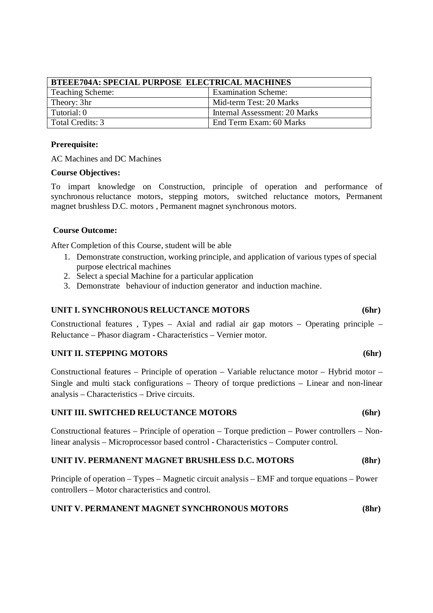| <b>BTEEE704A: SPECIAL PURPOSE ELECTRICAL MACHINES</b> |                               |  |  |  |
|-------------------------------------------------------|-------------------------------|--|--|--|
| <b>Teaching Scheme:</b>                               | <b>Examination Scheme:</b>    |  |  |  |
| Theory: 3hr                                           | Mid-term Test: 20 Marks       |  |  |  |
| Tutorial: 0                                           | Internal Assessment: 20 Marks |  |  |  |
| Total Credits: 3                                      | End Term Exam: 60 Marks       |  |  |  |

#### **Prerequisite:**

AC Machines and DC Machines

#### **Course Objectives:**

To impart knowledge on Construction, principle of operation and performance of synchronous reluctance motors, stepping motors, switched reluctance motors, Permanent magnet brushless D.C. motors , Permanent magnet synchronous motors.

#### **Course Outcome:**

After Completion of this Course, student will be able

- 1. Demonstrate construction, working principle, and application of various types of special purpose electrical machines
- 2. Select a special Machine for a particular application
- 3. Demonstrate behaviour of induction generator and induction machine.

#### **UNIT I. SYNCHRONOUS RELUCTANCE MOTORS (6hr)**

Constructional features , Types – Axial and radial air gap motors – Operating principle – Reluctance – Phasor diagram - Characteristics – Vernier motor.

#### **UNIT II. STEPPING MOTORS (6hr)**

Constructional features – Principle of operation – Variable reluctance motor – Hybrid motor – Single and multi stack configurations – Theory of torque predictions – Linear and non-linear analysis – Characteristics – Drive circuits.

#### **UNIT III. SWITCHED RELUCTANCE MOTORS (6hr)**

Constructional features – Principle of operation – Torque prediction – Power controllers – Nonlinear analysis – Microprocessor based control - Characteristics – Computer control.

#### **UNIT IV. PERMANENT MAGNET BRUSHLESS D.C. MOTORS (8hr)**

Principle of operation – Types – Magnetic circuit analysis – EMF and torque equations – Power controllers – Motor characteristics and control.

#### **UNIT V. PERMANENT MAGNET SYNCHRONOUS MOTORS (8hr)**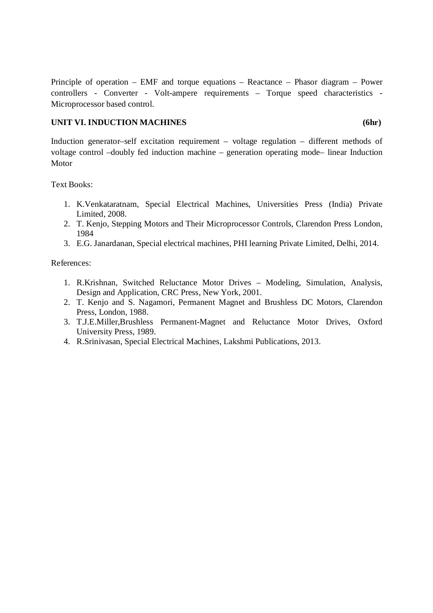Principle of operation – EMF and torque equations – Reactance – Phasor diagram – Power controllers - Converter - Volt-ampere requirements – Torque speed characteristics - Microprocessor based control.

#### UNIT VI. INDUCTION MACHINES (6hr)

Induction generator–self excitation requirement – voltage regulation – different methods of voltage control –doubly fed induction machine – generation operating mode– linear Induction Motor

Text Books:

- 1. K.Venkataratnam, Special Electrical Machines, Universities Press (India) Private Limited, 2008.
- 2. T. Kenjo, Stepping Motors and Their Microprocessor Controls, Clarendon Press London, 1984
- 3. E.G. Janardanan, Special electrical machines, PHI learning Private Limited, Delhi, 2014.

References:

- 1. R.Krishnan, Switched Reluctance Motor Drives Modeling, Simulation, Analysis, Design and Application, CRC Press, New York, 2001.
- 2. T. Kenjo and S. Nagamori, Permanent Magnet and Brushless DC Motors, Clarendon Press, London, 1988.
- 3. T.J.E.Miller,Brushless Permanent-Magnet and Reluctance Motor Drives, Oxford University Press, 1989.
- 4. R.Srinivasan, Special Electrical Machines, Lakshmi Publications, 2013.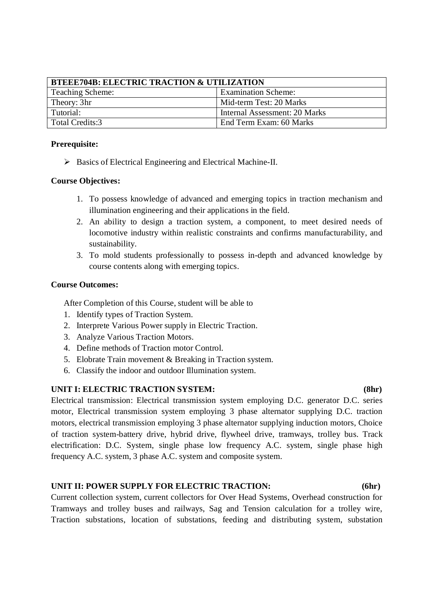| <b>BTEEE704B: ELECTRIC TRACTION &amp; UTILIZATION</b> |                               |  |  |  |  |
|-------------------------------------------------------|-------------------------------|--|--|--|--|
| <b>Teaching Scheme:</b>                               | <b>Examination Scheme:</b>    |  |  |  |  |
| Theory: 3hr                                           | Mid-term Test: 20 Marks       |  |  |  |  |
| Tutorial:                                             | Internal Assessment: 20 Marks |  |  |  |  |
| Total Credits:3                                       | End Term Exam: 60 Marks       |  |  |  |  |

#### **Prerequisite:**

 $\triangleright$  Basics of Electrical Engineering and Electrical Machine-II.

#### **Course Objectives:**

- 1. To possess knowledge of advanced and emerging topics in traction mechanism and illumination engineering and their applications in the field.
- 2. An ability to design a traction system, a component, to meet desired needs of locomotive industry within realistic constraints and confirms manufacturability, and sustainability.
- 3. To mold students professionally to possess in-depth and advanced knowledge by course contents along with emerging topics.

#### **Course Outcomes:**

After Completion of this Course, student will be able to

- 1. Identify types of Traction System.
- 2. Interprete Various Power supply in Electric Traction.
- 3. Analyze Various Traction Motors.
- 4. Define methods of Traction motor Control.
- 5. Elobrate Train movement & Breaking in Traction system.
- 6. Classify the indoor and outdoor Illumination system.

#### **UNIT I: ELECTRIC TRACTION SYSTEM: (8hr)**

Electrical transmission: Electrical transmission system employing D.C. generator D.C. series motor, Electrical transmission system employing 3 phase alternator supplying D.C. traction motors, electrical transmission employing 3 phase alternator supplying induction motors, Choice of traction system-battery drive, hybrid drive, flywheel drive, tramways, trolley bus. Track electrification: D.C. System, single phase low frequency A.C. system, single phase high frequency A.C. system, 3 phase A.C. system and composite system.

### **UNIT II: POWER SUPPLY FOR ELECTRIC TRACTION: (6hr)**

Current collection system, current collectors for Over Head Systems, Overhead construction for Tramways and trolley buses and railways, Sag and Tension calculation for a trolley wire, Traction substations, location of substations, feeding and distributing system, substation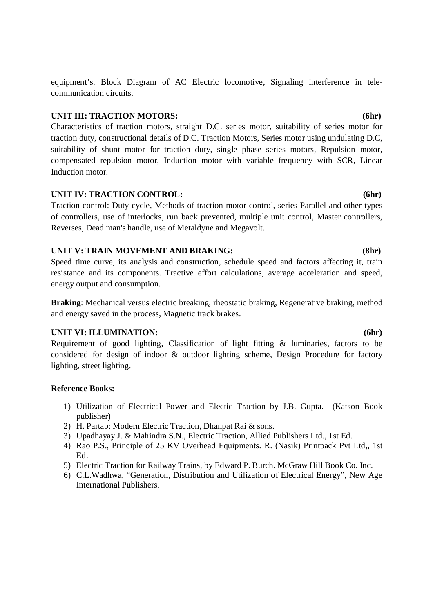equipment's. Block Diagram of AC Electric locomotive, Signaling interference in telecommunication circuits.

#### **UNIT III: TRACTION MOTORS: (6hr)**

Characteristics of traction motors, straight D.C. series motor, suitability of series motor for traction duty, constructional details of D.C. Traction Motors, Series motor using undulating D.C, suitability of shunt motor for traction duty, single phase series motors, Repulsion motor, compensated repulsion motor, Induction motor with variable frequency with SCR, Linear Induction motor.

#### **UNIT IV: TRACTION CONTROL: (6hr)**

Traction control: Duty cycle, Methods of traction motor control, series-Parallel and other types of controllers, use of interlocks, run back prevented, multiple unit control, Master controllers, Reverses, Dead man's handle, use of Metaldyne and Megavolt.

#### **UNIT V: TRAIN MOVEMENT AND BRAKING: (8hr)**

Speed time curve, its analysis and construction, schedule speed and factors affecting it, train resistance and its components. Tractive effort calculations, average acceleration and speed, energy output and consumption.

**Braking**: Mechanical versus electric breaking, rheostatic braking, Regenerative braking, method and energy saved in the process, Magnetic track brakes.

#### **UNIT VI: ILLUMINATION: (6hr)**

Requirement of good lighting, Classification of light fitting & luminaries, factors to be considered for design of indoor & outdoor lighting scheme, Design Procedure for factory lighting, street lighting.

#### **Reference Books:**

- 1) Utilization of Electrical Power and Electic Traction by J.B. Gupta. (Katson Book publisher)
- 2) H. Partab: Modern Electric Traction, Dhanpat Rai & sons.
- 3) Upadhayay J. & Mahindra S.N., Electric Traction, Allied Publishers Ltd., 1st Ed.
- 4) Rao P.S., Principle of 25 KV Overhead Equipments. R. (Nasik) Printpack Pvt Ltd,, 1st Ed.
- 5) Electric Traction for Railway Trains, by Edward P. Burch. McGraw Hill Book Co. Inc.
- 6) C.L.Wadhwa, "Generation, Distribution and Utilization of Electrical Energy", New Age International Publishers.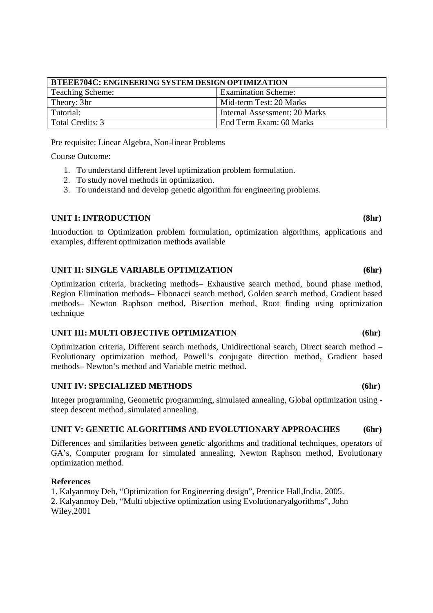| <b>BTEEE704C: ENGINEERING SYSTEM DESIGN OPTIMIZATION</b> |                               |  |  |  |
|----------------------------------------------------------|-------------------------------|--|--|--|
| <b>Teaching Scheme:</b>                                  | <b>Examination Scheme:</b>    |  |  |  |
| Theory: 3hr                                              | Mid-term Test: 20 Marks       |  |  |  |
| Tutorial:                                                | Internal Assessment: 20 Marks |  |  |  |
| Total Credits: 3                                         | End Term Exam: 60 Marks       |  |  |  |

Pre requisite: Linear Algebra, Non-linear Problems

Course Outcome:

- 1. To understand different level optimization problem formulation.
- 2. To study novel methods in optimization.
- 3. To understand and develop genetic algorithm for engineering problems.

#### UNIT I: INTRODUCTION (8hr)

Introduction to Optimization problem formulation, optimization algorithms, applications and examples, different optimization methods available

#### **UNIT II: SINGLE VARIABLE OPTIMIZATION (6hr)**

Optimization criteria, bracketing methods– Exhaustive search method, bound phase method, Region Elimination methods– Fibonacci search method, Golden search method, Gradient based methods– Newton Raphson method, Bisection method, Root finding using optimization technique

#### **UNIT III: MULTI OBJECTIVE OPTIMIZATION (6hr)**

Optimization criteria, Different search methods, Unidirectional search, Direct search method – Evolutionary optimization method, Powell's conjugate direction method, Gradient based methods– Newton's method and Variable metric method.

#### **UNIT IV: SPECIALIZED METHODS (6hr)**

Integer programming, Geometric programming, simulated annealing, Global optimization using steep descent method, simulated annealing.

#### **UNIT V: GENETIC ALGORITHMS AND EVOLUTIONARY APPROACHES (6hr)**

Differences and similarities between genetic algorithms and traditional techniques, operators of GA's, Computer program for simulated annealing, Newton Raphson method, Evolutionary optimization method.

#### **References**

1. Kalyanmoy Deb, "Optimization for Engineering design", Prentice Hall,India, 2005. 2. Kalyanmoy Deb, "Multi objective optimization using Evolutionaryalgorithms", John Wiley,2001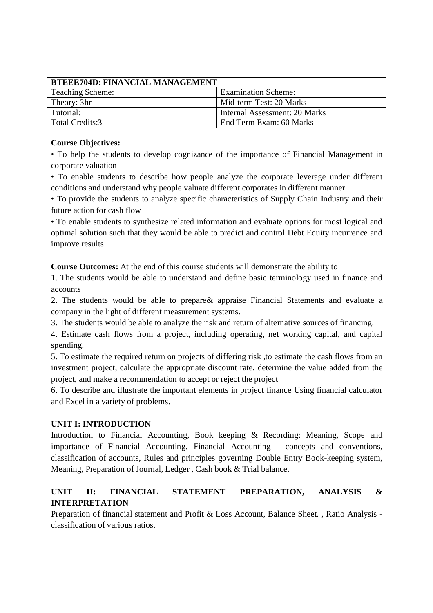| <b>BTEEE704D: FINANCIAL MANAGEMENT</b> |                               |  |  |  |  |
|----------------------------------------|-------------------------------|--|--|--|--|
| Teaching Scheme:                       | <b>Examination Scheme:</b>    |  |  |  |  |
| Theory: 3hr                            | Mid-term Test: 20 Marks       |  |  |  |  |
| Tutorial:                              | Internal Assessment: 20 Marks |  |  |  |  |
| Total Credits:3                        | End Term Exam: 60 Marks       |  |  |  |  |

#### **Course Objectives:**

• To help the students to develop cognizance of the importance of Financial Management in corporate valuation

• To enable students to describe how people analyze the corporate leverage under different conditions and understand why people valuate different corporates in different manner.

• To provide the students to analyze specific characteristics of Supply Chain Industry and their future action for cash flow

• To enable students to synthesize related information and evaluate options for most logical and optimal solution such that they would be able to predict and control Debt Equity incurrence and improve results.

**Course Outcomes:** At the end of this course students will demonstrate the ability to

1. The students would be able to understand and define basic terminology used in finance and accounts

2. The students would be able to prepare& appraise Financial Statements and evaluate a company in the light of different measurement systems.

3. The students would be able to analyze the risk and return of alternative sources of financing.

4. Estimate cash flows from a project, including operating, net working capital, and capital spending.

5. To estimate the required return on projects of differing risk ,to estimate the cash flows from an investment project, calculate the appropriate discount rate, determine the value added from the project, and make a recommendation to accept or reject the project

6. To describe and illustrate the important elements in project finance Using financial calculator and Excel in a variety of problems.

### **UNIT I: INTRODUCTION**

Introduction to Financial Accounting, Book keeping & Recording: Meaning, Scope and importance of Financial Accounting. Financial Accounting - concepts and conventions, classification of accounts, Rules and principles governing Double Entry Book-keeping system, Meaning, Preparation of Journal, Ledger , Cash book & Trial balance.

### **UNIT II: FINANCIAL STATEMENT PREPARATION, ANALYSIS & INTERPRETATION**

Preparation of financial statement and Profit & Loss Account, Balance Sheet. , Ratio Analysis classification of various ratios.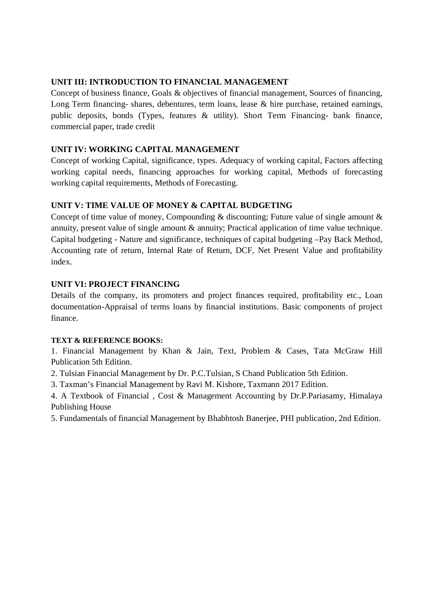### **UNIT III: INTRODUCTION TO FINANCIAL MANAGEMENT**

Concept of business finance, Goals & objectives of financial management, Sources of financing, Long Term financing- shares, debentures, term loans, lease & hire purchase, retained earnings, public deposits, bonds (Types, features & utility). Short Term Financing- bank finance, commercial paper, trade credit

### **UNIT IV: WORKING CAPITAL MANAGEMENT**

Concept of working Capital, significance, types. Adequacy of working capital, Factors affecting working capital needs, financing approaches for working capital, Methods of forecasting working capital requirements, Methods of Forecasting.

### **UNIT V: TIME VALUE OF MONEY & CAPITAL BUDGETING**

Concept of time value of money, Compounding  $\&$  discounting; Future value of single amount  $\&$ annuity, present value of single amount & annuity; Practical application of time value technique. Capital budgeting - Nature and significance, techniques of capital budgeting –Pay Back Method, Accounting rate of return, Internal Rate of Return, DCF, Net Present Value and profitability index.

### **UNIT VI: PROJECT FINANCING**

Details of the company, its promoters and project finances required, profitability etc., Loan documentation-Appraisal of terms loans by financial institutions. Basic components of project finance.

### **TEXT & REFERENCE BOOKS:**

1. Financial Management by Khan & Jain, Text, Problem & Cases, Tata McGraw Hill Publication 5th Edition.

2. Tulsian Financial Management by Dr. P.C.Tulsian, S Chand Publication 5th Edition.

3. Taxman's Financial Management by Ravi M. Kishore, Taxmann 2017 Edition.

4. A Textbook of Financial , Cost & Management Accounting by Dr.P.Pariasamy, Himalaya Publishing House

5. Fundamentals of financial Management by Bhabhtosh Banerjee, PHI publication, 2nd Edition.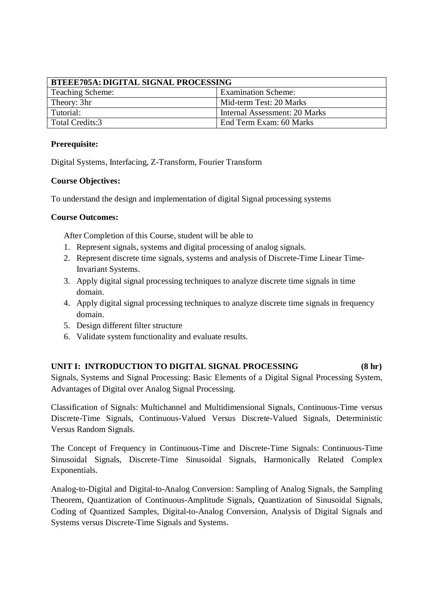| BTEEE705A: DIGITAL SIGNAL PROCESSING           |                               |  |
|------------------------------------------------|-------------------------------|--|
| <b>Examination Scheme:</b><br>Teaching Scheme: |                               |  |
| Theory: 3hr                                    | Mid-term Test: 20 Marks       |  |
| Tutorial:                                      | Internal Assessment: 20 Marks |  |
| Total Credits:3                                | End Term Exam: 60 Marks       |  |

#### **Prerequisite:**

Digital Systems, Interfacing, Z-Transform, Fourier Transform

#### **Course Objectives:**

To understand the design and implementation of digital Signal processing systems

#### **Course Outcomes:**

After Completion of this Course, student will be able to

- 1. Represent signals, systems and digital processing of analog signals.
- 2. Represent discrete time signals, systems and analysis of Discrete-Time Linear Time-Invariant Systems.
- 3. Apply digital signal processing techniques to analyze discrete time signals in time domain.
- 4. Apply digital signal processing techniques to analyze discrete time signals in frequency domain.
- 5. Design different filter structure
- 6. Validate system functionality and evaluate results.

#### **UNIT I: INTRODUCTION TO DIGITAL SIGNAL PROCESSING (8 hr)**

Signals, Systems and Signal Processing: Basic Elements of a Digital Signal Processing System, Advantages of Digital over Analog Signal Processing.

Classification of Signals: Multichannel and Multidimensional Signals, Continuous-Time versus Discrete-Time Signals, Continuous-Valued Versus Discrete-Valued Signals, Deterministic Versus Random Signals.

The Concept of Frequency in Continuous-Time and Discrete-Time Signals: Continuous-Time Sinusoidal Signals, Discrete-Time Sinusoidal Signals, Harmonically Related Complex Exponentials.

Analog-to-Digital and Digital-to-Analog Conversion: Sampling of Analog Signals, the Sampling Theorem, Quantization of Continuous-Amplitude Signals, Quantization of Sinusoidal Signals, Coding of Quantized Samples, Digital-to-Analog Conversion, Analysis of Digital Signals and Systems versus Discrete-Time Signals and Systems.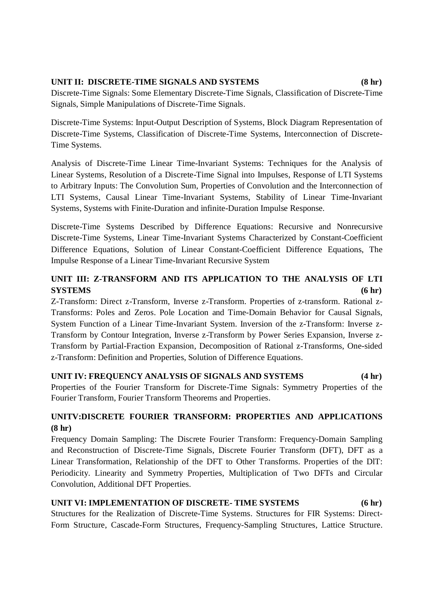### **UNIT II: DISCRETE-TIME SIGNALS AND SYSTEMS (8 hr)**

Discrete-Time Signals: Some Elementary Discrete-Time Signals, Classification of Discrete-Time Signals, Simple Manipulations of Discrete-Time Signals.

Discrete-Time Systems: Input-Output Description of Systems, Block Diagram Representation of Discrete-Time Systems, Classification of Discrete-Time Systems, Interconnection of Discrete-Time Systems.

Analysis of Discrete-Time Linear Time-Invariant Systems: Techniques for the Analysis of Linear Systems, Resolution of a Discrete-Time Signal into Impulses, Response of LTI Systems to Arbitrary Inputs: The Convolution Sum, Properties of Convolution and the Interconnection of LTI Systems, Causal Linear Time-Invariant Systems, Stability of Linear Time-Invariant Systems, Systems with Finite-Duration and infinite-Duration Impulse Response.

Discrete-Time Systems Described by Difference Equations: Recursive and Nonrecursive Discrete-Time Systems, Linear Time-Invariant Systems Characterized by Constant-Coefficient Difference Equations, Solution of Linear Constant-Coefficient Difference Equations, The Impulse Response of a Linear Time-Invariant Recursive System

### UNIT III: Z-TRANSFORM AND ITS APPLICATION TO THE ANALYSIS OF LTI **SYSTEMS (6 hr)**

Z-Transform: Direct z-Transform, Inverse z-Transform. Properties of z-transform. Rational z-Transforms: Poles and Zeros. Pole Location and Time-Domain Behavior for Causal Signals, System Function of a Linear Time-Invariant System. Inversion of the z-Transform: Inverse z-Transform by Contour Integration, Inverse z-Transform by Power Series Expansion, Inverse z-Transform by Partial-Fraction Expansion, Decomposition of Rational z-Transforms, One-sided z-Transform: Definition and Properties, Solution of Difference Equations.

### **UNIT IV: FREQUENCY ANALYSIS OF SIGNALS AND SYSTEMS (4 hr)**

Properties of the Fourier Transform for Discrete-Time Signals: Symmetry Properties of the Fourier Transform, Fourier Transform Theorems and Properties.

### **UNITV:DISCRETE FOURIER TRANSFORM: PROPERTIES AND APPLICATIONS (8 hr)**

Frequency Domain Sampling: The Discrete Fourier Transform: Frequency-Domain Sampling and Reconstruction of Discrete-Time Signals, Discrete Fourier Transform (DFT), DFT as a Linear Transformation, Relationship of the DFT to Other Transforms. Properties of the DlT: Periodicity. Linearity and Symmetry Properties, Multiplication of Two DFTs and Circular Convolution, Additional DFT Properties.

### **UNIT VI: IMPLEMENTATION OF DISCRETE- TIME SYSTEMS (6 hr)**

Structures for the Realization of Discrete-Time Systems. Structures for FIR Systems: Direct-Form Structure, Cascade-Form Structures, Frequency-Sampling Structures, Lattice Structure.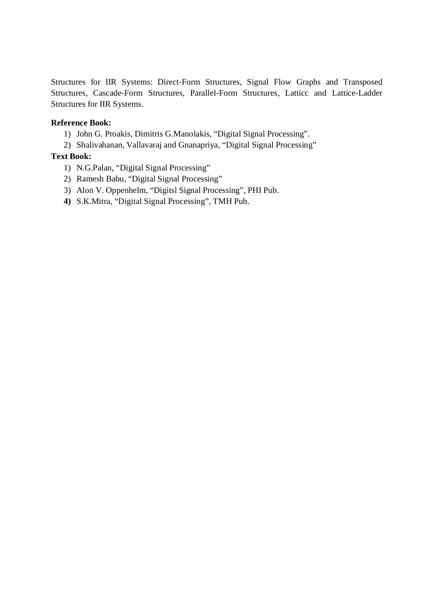Structures for IIR Systems: Direct-Form Structures, Signal Flow Graphs and Transposed Structures, Cascade-Form Structures, Parallel-Form Structures, Latticc and Lattice-Ladder Structures for IIR Systems.

#### **Reference Book:**

- 1) John G. Proakis, Dimitris G.Manolakis, "Digital Signal Processing".
- 2) Shalivahanan, Vallavaraj and Gnanapriya, "Digital Signal Processing"

### **Text Book:**

- 1) N.G.Palan, "Digital Signal Processing"
- 2) Ramesh Babu, "Digital Signal Processing"
- 3) Alon V. Oppenhelm, "Digitsl Signal Processing", PHI Pub.
- **4)** S.K.Mitra, "Digital Signal Processing", TMH Pub.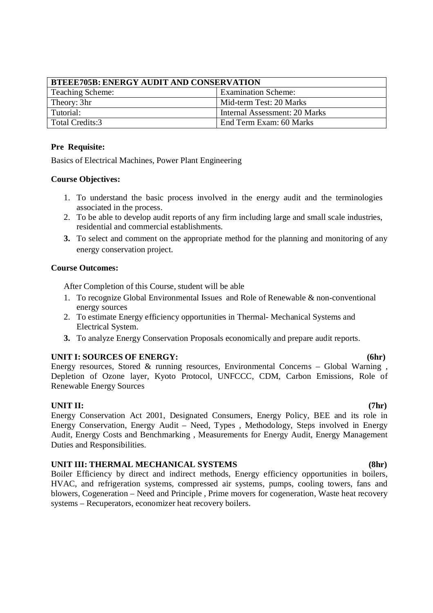| <b>BTEEE705B: ENERGY AUDIT AND CONSERVATION</b>       |                               |  |
|-------------------------------------------------------|-------------------------------|--|
| <b>Examination Scheme:</b><br><b>Teaching Scheme:</b> |                               |  |
| Theory: 3hr                                           | Mid-term Test: 20 Marks       |  |
| Tutorial:                                             | Internal Assessment: 20 Marks |  |
| Total Credits:3                                       | End Term Exam: 60 Marks       |  |

#### **Pre Requisite:**

Basics of Electrical Machines, Power Plant Engineering

#### **Course Objectives:**

- 1. To understand the basic process involved in the energy audit and the terminologies associated in the process.
- 2. To be able to develop audit reports of any firm including large and small scale industries, residential and commercial establishments.
- **3.** To select and comment on the appropriate method for the planning and monitoring of any energy conservation project.

#### **Course Outcomes:**

After Completion of this Course, student will be able

- 1. To recognize Global Environmental Issues and Role of Renewable & non-conventional energy sources
- 2. To estimate Energy efficiency opportunities in Thermal- Mechanical Systems and Electrical System.
- **3.** To analyze Energy Conservation Proposals economically and prepare audit reports.

### UNIT I: SOURCES OF ENERGY: (6hr)

Energy resources, Stored & running resources, Environmental Concerns – Global Warning , Depletion of Ozone layer, Kyoto Protocol, UNFCCC, CDM, Carbon Emissions, Role of Renewable Energy Sources

**UNIT II: (7hr)** Energy Conservation Act 2001, Designated Consumers, Energy Policy, BEE and its role in Energy Conservation, Energy Audit – Need, Types , Methodology, Steps involved in Energy Audit, Energy Costs and Benchmarking , Measurements for Energy Audit, Energy Management Duties and Responsibilities.

#### **UNIT III: THERMAL MECHANICAL SYSTEMS (8hr)**

Boiler Efficiency by direct and indirect methods, Energy efficiency opportunities in boilers, HVAC, and refrigeration systems, compressed air systems, pumps, cooling towers, fans and blowers, Cogeneration – Need and Principle , Prime movers for cogeneration, Waste heat recovery systems – Recuperators, economizer heat recovery boilers.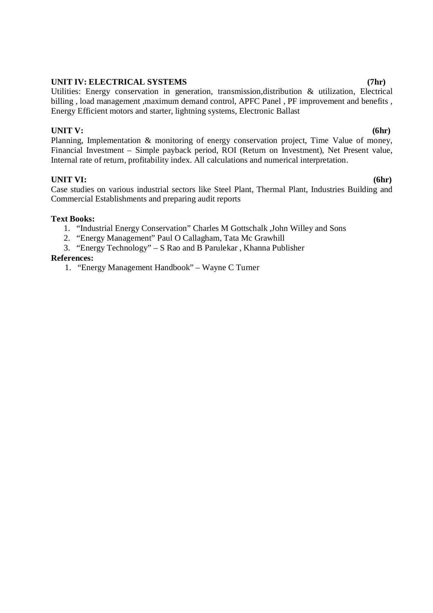#### **UNIT IV: ELECTRICAL SYSTEMS (7hr)**

Utilities: Energy conservation in generation, transmission,distribution & utilization, Electrical billing , load management ,maximum demand control, APFC Panel , PF improvement and benefits , Energy Efficient motors and starter, lightning systems, Electronic Ballast

#### **UNIT V: (6hr)**

Planning, Implementation & monitoring of energy conservation project, Time Value of money, Financial Investment – Simple payback period, ROI (Return on Investment), Net Present value, Internal rate of return, profitability index. All calculations and numerical interpretation.

### **UNIT VI: (6hr)**

Case studies on various industrial sectors like Steel Plant, Thermal Plant, Industries Building and Commercial Establishments and preparing audit reports

#### **Text Books:**

- 1. "Industrial Energy Conservation" Charles M Gottschalk ,John Willey and Sons
- 2. "Energy Management" Paul O Callagham, Tata Mc Grawhill
- 3. "Energy Technology" S Rao and B Parulekar , Khanna Publisher

#### **References:**

1. "Energy Management Handbook" – Wayne C Turner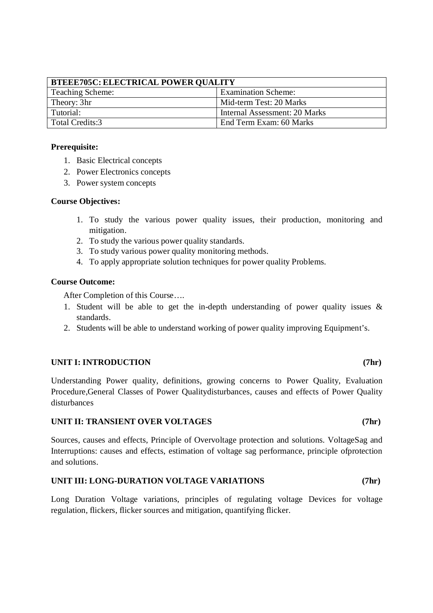| <b>BTEEE705C: ELECTRICAL POWER QUALITY</b> |                               |  |
|--------------------------------------------|-------------------------------|--|
| Teaching Scheme:                           | <b>Examination Scheme:</b>    |  |
| Theory: 3hr                                | Mid-term Test: 20 Marks       |  |
| Tutorial:                                  | Internal Assessment: 20 Marks |  |
| Total Credits:3                            | End Term Exam: 60 Marks       |  |

#### **Prerequisite:**

- 1. Basic Electrical concepts
- 2. Power Electronics concepts
- 3. Power system concepts

#### **Course Objectives:**

- 1. To study the various power quality issues, their production, monitoring and mitigation.
- 2. To study the various power quality standards.
- 3. To study various power quality monitoring methods.
- 4. To apply appropriate solution techniques for power quality Problems.

### **Course Outcome:**

After Completion of this Course….

- 1. Student will be able to get the in-depth understanding of power quality issues & standards.
- 2. Students will be able to understand working of power quality improving Equipment's.

#### **UNIT I: INTRODUCTION (7hr)**

Understanding Power quality, definitions, growing concerns to Power Quality, Evaluation Procedure,General Classes of Power Qualitydisturbances, causes and effects of Power Quality disturbances

#### **UNIT II: TRANSIENT OVER VOLTAGES (7hr)**

Sources, causes and effects, Principle of Overvoltage protection and solutions. VoltageSag and Interruptions: causes and effects, estimation of voltage sag performance, principle ofprotection and solutions.

#### **UNIT III: LONG-DURATION VOLTAGE VARIATIONS (7hr)**

Long Duration Voltage variations, principles of regulating voltage Devices for voltage regulation, flickers, flicker sources and mitigation, quantifying flicker.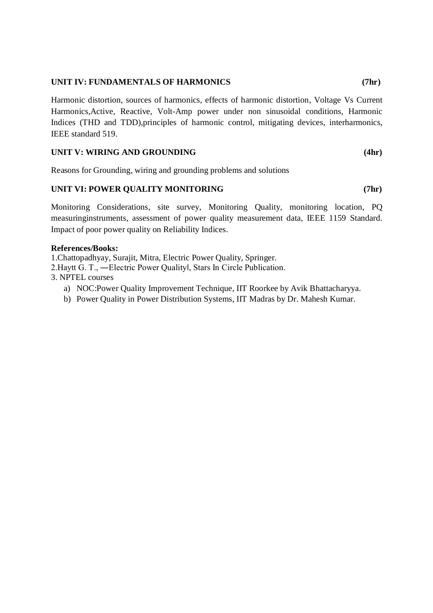#### **UNIT IV: FUNDAMENTALS OF HARMONICS (7hr)**

Harmonic distortion, sources of harmonics, effects of harmonic distortion, Voltage Vs Current Harmonics,Active, Reactive, Volt-Amp power under non sinusoidal conditions, Harmonic Indices (THD and TDD),principles of harmonic control, mitigating devices, interharmonics, IEEE standard 519.

#### **UNIT V: WIRING AND GROUNDING (4hr)**

Reasons for Grounding, wiring and grounding problems and solutions

#### **UNIT VI: POWER QUALITY MONITORING (7hr)**

Monitoring Considerations, site survey, Monitoring Quality, monitoring location, PQ measuringinstruments, assessment of power quality measurement data, IEEE 1159 Standard. Impact of poor power quality on Reliability Indices.

#### **References/Books:**

1.Chattopadhyay, Surajit, Mitra, Electric Power Quality, Springer.

- 2.Haytt G. T., ―Electric Power Qualityǁ, Stars In Circle Publication.
- 3. NPTEL courses
	- a) NOC:Power Quality Improvement Technique, IIT Roorkee by Avik Bhattacharyya.
	- b) Power Quality in Power Distribution Systems, IIT Madras by Dr. Mahesh Kumar.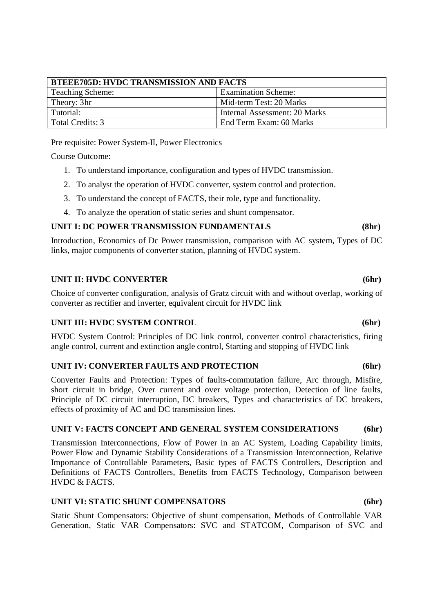| <b>BTEEE705D: HVDC TRANSMISSION AND FACTS</b> |                               |  |
|-----------------------------------------------|-------------------------------|--|
| <b>Teaching Scheme:</b>                       | <b>Examination Scheme:</b>    |  |
| Theory: 3hr                                   | Mid-term Test: 20 Marks       |  |
| Tutorial:                                     | Internal Assessment: 20 Marks |  |
| Total Credits: 3                              | End Term Exam: 60 Marks       |  |

Pre requisite: Power System-II, Power Electronics

Course Outcome:

- 1. To understand importance, configuration and types of HVDC transmission.
- 2. To analyst the operation of HVDC converter, system control and protection.
- 3. To understand the concept of FACTS, their role, type and functionality.
- 4. To analyze the operation of static series and shunt compensator.

#### **UNIT I: DC POWER TRANSMISSION FUNDAMENTALS (8hr)**

Introduction, Economics of Dc Power transmission, comparison with AC system, Types of DC links, major components of converter station, planning of HVDC system.

#### **UNIT II: HVDC CONVERTER** (6hr)

Choice of converter configuration, analysis of Gratz circuit with and without overlap, working of converter as rectifier and inverter, equivalent circuit for HVDC link

#### **UNIT III: HVDC SYSTEM CONTROL** (6hr)

HVDC System Control: Principles of DC link control, converter control characteristics, firing angle control, current and extinction angle control, Starting and stopping of HVDC link

#### **UNIT IV: CONVERTER FAULTS AND PROTECTION (6hr)**

Converter Faults and Protection: Types of faults-commutation failure, Arc through, Misfire, short circuit in bridge, Over current and over voltage protection, Detection of line faults, Principle of DC circuit interruption, DC breakers, Types and characteristics of DC breakers, effects of proximity of AC and DC transmission lines.

#### **UNIT V: FACTS CONCEPT AND GENERAL SYSTEM CONSIDERATIONS (6hr)**

Transmission Interconnections, Flow of Power in an AC System, Loading Capability limits, Power Flow and Dynamic Stability Considerations of a Transmission Interconnection, Relative Importance of Controllable Parameters, Basic types of FACTS Controllers, Description and Definitions of FACTS Controllers, Benefits from FACTS Technology, Comparison between HVDC & FACTS.

#### **UNIT VI: STATIC SHUNT COMPENSATORS (6hr)**

Static Shunt Compensators: Objective of shunt compensation, Methods of Controllable VAR Generation, Static VAR Compensators: SVC and STATCOM, Comparison of SVC and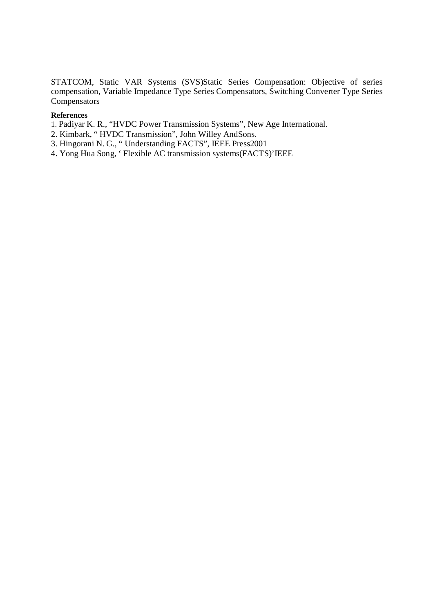STATCOM, Static VAR Systems (SVS)Static Series Compensation: Objective of series compensation, Variable Impedance Type Series Compensators, Switching Converter Type Series **Compensators** 

#### **References**

- 1. Padiyar K. R., "HVDC Power Transmission Systems", New Age International.
- 2. Kimbark, " HVDC Transmission", John Willey AndSons.
- 3. Hingorani N. G., " Understanding FACTS", IEEE Press2001
- 4. Yong Hua Song, ' Flexible AC transmission systems(FACTS)'IEEE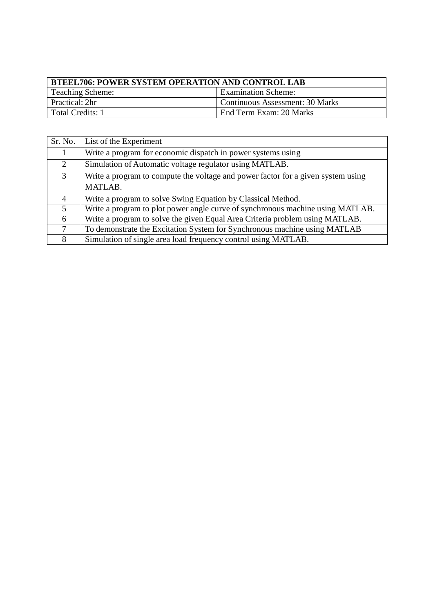| <b>BTEEL706: POWER SYSTEM OPERATION AND CONTROL LAB</b> |                                        |  |
|---------------------------------------------------------|----------------------------------------|--|
| <b>Teaching Scheme:</b>                                 | <b>Examination Scheme:</b>             |  |
| Practical: 2hr                                          | <b>Continuous Assessment: 30 Marks</b> |  |
| Total Credits: 1                                        | End Term Exam: 20 Marks                |  |

| Sr. No.        | List of the Experiment                                                           |
|----------------|----------------------------------------------------------------------------------|
|                | Write a program for economic dispatch in power systems using                     |
| $\overline{2}$ | Simulation of Automatic voltage regulator using MATLAB.                          |
| 3              | Write a program to compute the voltage and power factor for a given system using |
|                | MATLAB.                                                                          |
| 4              | Write a program to solve Swing Equation by Classical Method.                     |
| 5 <sup>5</sup> | Write a program to plot power angle curve of synchronous machine using MATLAB.   |
| 6              | Write a program to solve the given Equal Area Criteria problem using MATLAB.     |
| 7              | To demonstrate the Excitation System for Synchronous machine using MATLAB        |
| 8              | Simulation of single area load frequency control using MATLAB.                   |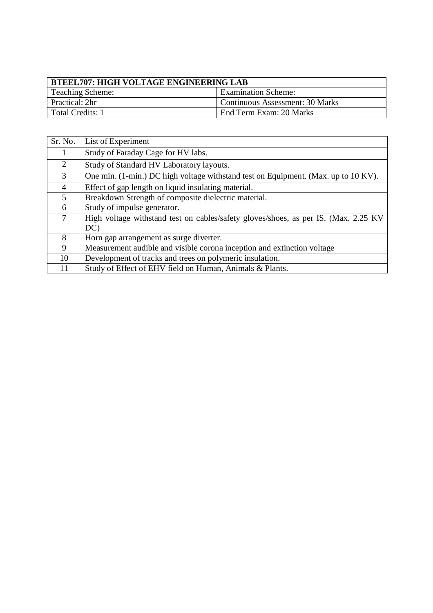| <b>BTEEL707: HIGH VOLTAGE ENGINEERING LAB</b>  |                                        |  |
|------------------------------------------------|----------------------------------------|--|
| Teaching Scheme:<br><b>Examination Scheme:</b> |                                        |  |
| Practical: 2hr                                 | <b>Continuous Assessment: 30 Marks</b> |  |
| Total Credits: 1                               | End Term Exam: 20 Marks                |  |

| Sr. No. | List of Experiment                                                                   |
|---------|--------------------------------------------------------------------------------------|
|         | Study of Faraday Cage for HV labs.                                                   |
| 2       | Study of Standard HV Laboratory layouts.                                             |
| 3       | One min. (1-min.) DC high voltage withstand test on Equipment. (Max. up to 10 KV).   |
| 4       | Effect of gap length on liquid insulating material.                                  |
| 5       | Breakdown Strength of composite dielectric material.                                 |
| 6       | Study of impulse generator.                                                          |
| $\tau$  | High voltage withstand test on cables/safety gloves/shoes, as per IS. (Max. 2.25 KV) |
|         | DC)                                                                                  |
| 8       | Horn gap arrangement as surge diverter.                                              |
| 9       | Measurement audible and visible corona inception and extinction voltage              |
| 10      | Development of tracks and trees on polymeric insulation.                             |
|         | Study of Effect of EHV field on Human, Animals & Plants.                             |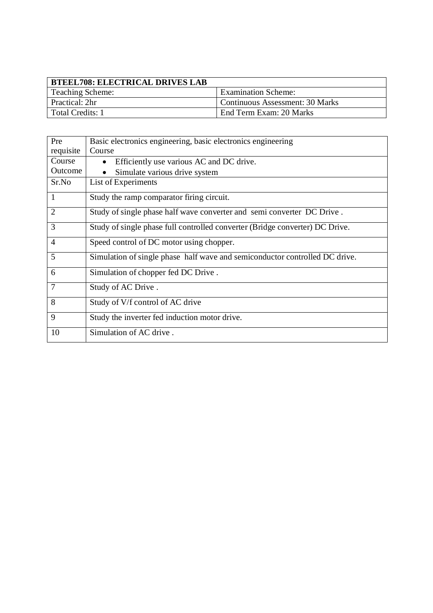| BTEEL708: ELECTRICAL DRIVES LAB |                                        |
|---------------------------------|----------------------------------------|
| Teaching Scheme:                | <b>Examination Scheme:</b>             |
| Practical: 2hr                  | <b>Continuous Assessment: 30 Marks</b> |
| l Total Credits: 1              | End Term Exam: 20 Marks                |

| Pre            | Basic electronics engineering, basic electronics engineering                 |
|----------------|------------------------------------------------------------------------------|
| requisite      | Course                                                                       |
| Course         | Efficiently use various AC and DC drive.                                     |
| Outcome        | Simulate various drive system                                                |
| Sr.No          | List of Experiments                                                          |
| 1              | Study the ramp comparator firing circuit.                                    |
| 2              | Study of single phase half wave converter and semi converter DC Drive.       |
| 3              | Study of single phase full controlled converter (Bridge converter) DC Drive. |
| $\overline{4}$ | Speed control of DC motor using chopper.                                     |
| 5              | Simulation of single phase half wave and semiconductor controlled DC drive.  |
| 6              | Simulation of chopper fed DC Drive.                                          |
| 7              | Study of AC Drive.                                                           |
| 8              | Study of V/f control of AC drive                                             |
| 9              | Study the inverter fed induction motor drive.                                |
| 10             | Simulation of AC drive.                                                      |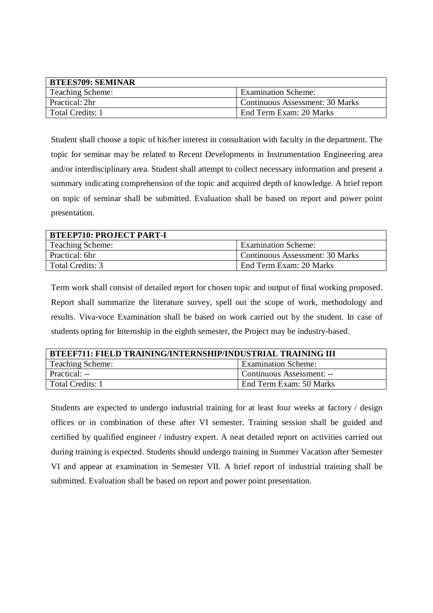| <b>BTEES709: SEMINAR</b> |                                 |
|--------------------------|---------------------------------|
| <b>Teaching Scheme:</b>  | <b>Examination Scheme:</b>      |
| Practical: 2hr           | Continuous Assessment: 30 Marks |
| Total Credits: 1         | End Term Exam: 20 Marks         |

Student shall choose a topic of his/her interest in consultation with faculty in the department. The topic for seminar may be related to Recent Developments in Instrumentation Engineering area and/or interdisciplinary area. Student shall attempt to collect necessary information and present a summary indicating comprehension of the topic and acquired depth of knowledge. A brief report on topic of seminar shall be submitted. Evaluation shall be based on report and power point presentation.

| <b>BTEEP710: PROJECT PART-I</b> |                                 |
|---------------------------------|---------------------------------|
| <b>Teaching Scheme:</b>         | <b>Examination Scheme:</b>      |
| Practical: 6hr                  | Continuous Assessment: 30 Marks |
| Total Credits: 3                | End Term Exam: 20 Marks         |

Term work shall consist of detailed report for chosen topic and output of final working proposed. Report shall summarize the literature survey, spell out the scope of work, methodology and results. Viva-voce Examination shall be based on work carried out by the student. In case of students opting for Internship in the eighth semester, the Project may be industry-based.

| <b>BTEEF711: FIELD TRAINING/INTERNSHIP/INDUSTRIAL TRAINING III</b> |                            |
|--------------------------------------------------------------------|----------------------------|
| <b>Teaching Scheme:</b>                                            | <b>Examination Scheme:</b> |
| Practical: --                                                      | Continuous Assessment: --  |
| Total Credits: 1                                                   | End Term Exam: 50 Marks    |

Students are expected to undergo industrial training for at least four weeks at factory / design offices or in combination of these after VI semester. Training session shall be guided and certified by qualified engineer / industry expert. A neat detailed report on activities carried out during training is expected. Students should undergo training in Summer Vacation after Semester VI and appear at examination in Semester VII. A brief report of industrial training shall be submitted. Evaluation shall be based on report and power point presentation.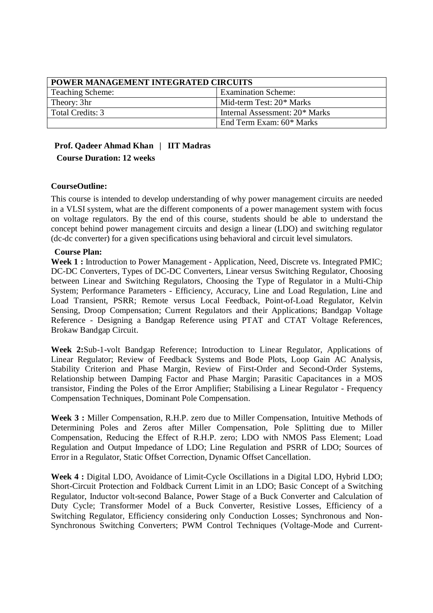| POWER MANAGEMENT INTEGRATED CIRCUITS |                                |
|--------------------------------------|--------------------------------|
| <b>Teaching Scheme:</b>              | <b>Examination Scheme:</b>     |
| Theory: 3hr                          | Mid-term Test: 20* Marks       |
| Total Credits: 3                     | Internal Assessment: 20* Marks |
|                                      | End Term Exam: 60* Marks       |

### **Prof. Qadeer Ahmad Khan | IIT Madras Course Duration: 12 weeks**

#### **CourseOutline:**

This course is intended to develop understanding of why power management circuits are needed in a VLSI system, what are the different components of a power management system with focus on voltage regulators. By the end of this course, students should be able to understand the concept behind power management circuits and design a linear (LDO) and switching regulator (dc-dc converter) for a given specifications using behavioral and circuit level simulators.

#### **Course Plan:**

**Week 1 :** Introduction to Power Management - Application, Need, Discrete vs. Integrated PMIC; DC-DC Converters, Types of DC-DC Converters, Linear versus Switching Regulator, Choosing between Linear and Switching Regulators, Choosing the Type of Regulator in a Multi-Chip System; Performance Parameters - Efficiency, Accuracy, Line and Load Regulation, Line and Load Transient, PSRR; Remote versus Local Feedback, Point-of-Load Regulator, Kelvin Sensing, Droop Compensation; Current Regulators and their Applications; Bandgap Voltage Reference - Designing a Bandgap Reference using PTAT and CTAT Voltage References, Brokaw Bandgap Circuit.

**Week 2:**Sub-1-volt Bandgap Reference; Introduction to Linear Regulator, Applications of Linear Regulator; Review of Feedback Systems and Bode Plots, Loop Gain AC Analysis, Stability Criterion and Phase Margin, Review of First-Order and Second-Order Systems, Relationship between Damping Factor and Phase Margin; Parasitic Capacitances in a MOS transistor, Finding the Poles of the Error Amplifier; Stabilising a Linear Regulator - Frequency Compensation Techniques, Dominant Pole Compensation.

**Week 3 :** Miller Compensation, R.H.P. zero due to Miller Compensation, Intuitive Methods of Determining Poles and Zeros after Miller Compensation, Pole Splitting due to Miller Compensation, Reducing the Effect of R.H.P. zero; LDO with NMOS Pass Element; Load Regulation and Output Impedance of LDO; Line Regulation and PSRR of LDO; Sources of Error in a Regulator, Static Offset Correction, Dynamic Offset Cancellation.

Week 4 : Digital LDO, Avoidance of Limit-Cycle Oscillations in a Digital LDO, Hybrid LDO; Short-Circuit Protection and Foldback Current Limit in an LDO; Basic Concept of a Switching Regulator, Inductor volt-second Balance, Power Stage of a Buck Converter and Calculation of Duty Cycle; Transformer Model of a Buck Converter, Resistive Losses, Efficiency of a Switching Regulator, Efficiency considering only Conduction Losses; Synchronous and Non-Synchronous Switching Converters; PWM Control Techniques (Voltage-Mode and Current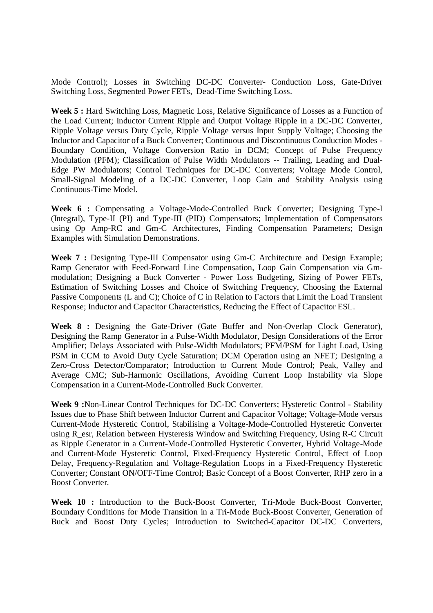Mode Control); Losses in Switching DC-DC Converter- Conduction Loss, Gate-Driver Switching Loss, Segmented Power FETs, Dead-Time Switching Loss.

**Week 5 :** Hard Switching Loss, Magnetic Loss, Relative Significance of Losses as a Function of the Load Current; Inductor Current Ripple and Output Voltage Ripple in a DC-DC Converter, Ripple Voltage versus Duty Cycle, Ripple Voltage versus Input Supply Voltage; Choosing the Inductor and Capacitor of a Buck Converter; Continuous and Discontinuous Conduction Modes - Boundary Condition, Voltage Conversion Ratio in DCM; Concept of Pulse Frequency Modulation (PFM); Classification of Pulse Width Modulators -- Trailing, Leading and Dual-Edge PW Modulators; Control Techniques for DC-DC Converters; Voltage Mode Control, Small-Signal Modeling of a DC-DC Converter, Loop Gain and Stability Analysis using Continuous-Time Model.

**Week 6 :** Compensating a Voltage-Mode-Controlled Buck Converter; Designing Type-I (Integral), Type-II (PI) and Type-III (PID) Compensators; Implementation of Compensators using Op Amp-RC and Gm-C Architectures, Finding Compensation Parameters; Design Examples with Simulation Demonstrations.

**Week 7 :** Designing Type-III Compensator using Gm-C Architecture and Design Example; Ramp Generator with Feed-Forward Line Compensation, Loop Gain Compensation via Gmmodulation; Designing a Buck Converter - Power Loss Budgeting, Sizing of Power FETs, Estimation of Switching Losses and Choice of Switching Frequency, Choosing the External Passive Components (L and C); Choice of C in Relation to Factors that Limit the Load Transient Response; Inductor and Capacitor Characteristics, Reducing the Effect of Capacitor ESL.

**Week 8 :** Designing the Gate-Driver (Gate Buffer and Non-Overlap Clock Generator), Designing the Ramp Generator in a Pulse-Width Modulator, Design Considerations of the Error Amplifier; Delays Associated with Pulse-Width Modulators; PFM/PSM for Light Load, Using PSM in CCM to Avoid Duty Cycle Saturation; DCM Operation using an NFET; Designing a Zero-Cross Detector/Comparator; Introduction to Current Mode Control; Peak, Valley and Average CMC; Sub-Harmonic Oscillations, Avoiding Current Loop Instability via Slope Compensation in a Current-Mode-Controlled Buck Converter.

**Week 9 :**Non-Linear Control Techniques for DC-DC Converters; Hysteretic Control - Stability Issues due to Phase Shift between Inductor Current and Capacitor Voltage; Voltage-Mode versus Current-Mode Hysteretic Control, Stabilising a Voltage-Mode-Controlled Hysteretic Converter using R\_esr, Relation between Hysteresis Window and Switching Frequency, Using R-C Circuit as Ripple Generator in a Current-Mode-Controlled Hysteretic Converter, Hybrid Voltage-Mode and Current-Mode Hysteretic Control, Fixed-Frequency Hysteretic Control, Effect of Loop Delay, Frequency-Regulation and Voltage-Regulation Loops in a Fixed-Frequency Hysteretic Converter; Constant ON/OFF-Time Control; Basic Concept of a Boost Converter, RHP zero in a Boost Converter.

**Week 10 :** Introduction to the Buck-Boost Converter, Tri-Mode Buck-Boost Converter, Boundary Conditions for Mode Transition in a Tri-Mode Buck-Boost Converter, Generation of Buck and Boost Duty Cycles; Introduction to Switched-Capacitor DC-DC Converters,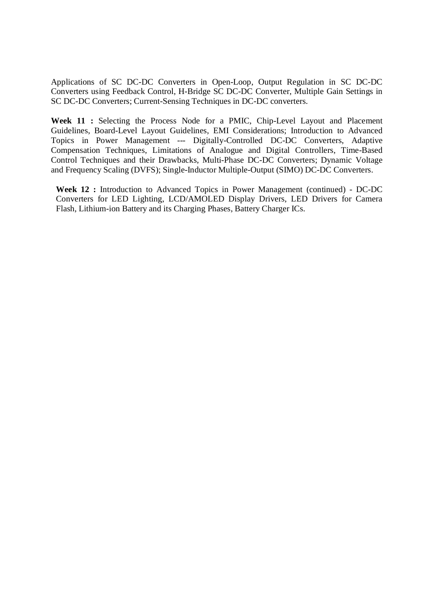Applications of SC DC-DC Converters in Open-Loop, Output Regulation in SC DC-DC Converters using Feedback Control, H-Bridge SC DC-DC Converter, Multiple Gain Settings in SC DC-DC Converters; Current-Sensing Techniques in DC-DC converters.

**Week 11 :** Selecting the Process Node for a PMIC, Chip-Level Layout and Placement Guidelines, Board-Level Layout Guidelines, EMI Considerations; Introduction to Advanced Topics in Power Management --- Digitally-Controlled DC-DC Converters, Adaptive Compensation Techniques, Limitations of Analogue and Digital Controllers, Time-Based Control Techniques and their Drawbacks, Multi-Phase DC-DC Converters; Dynamic Voltage and Frequency Scaling (DVFS); Single-Inductor Multiple-Output (SIMO) DC-DC Converters.

**Week 12 :** Introduction to Advanced Topics in Power Management (continued) - DC-DC Converters for LED Lighting, LCD/AMOLED Display Drivers, LED Drivers for Camera Flash, Lithium-ion Battery and its Charging Phases, Battery Charger ICs.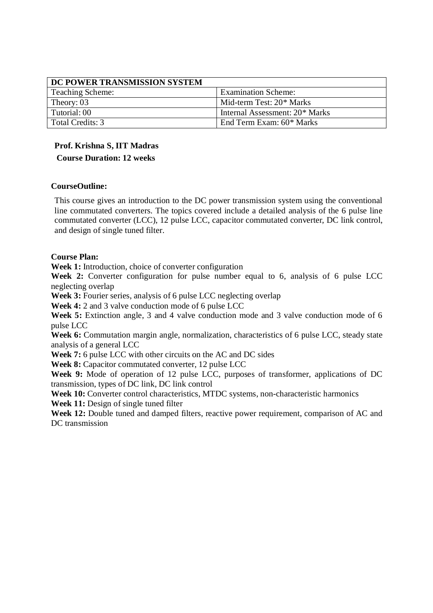| DC POWER TRANSMISSION SYSTEM |                                |
|------------------------------|--------------------------------|
| <b>Teaching Scheme:</b>      | <b>Examination Scheme:</b>     |
| Theory: 03                   | Mid-term Test: 20* Marks       |
| Tutorial: 00                 | Internal Assessment: 20* Marks |
| Total Credits: 3             | End Term Exam: 60* Marks       |

## **Prof. Krishna S, IIT Madras**

**Course Duration: 12 weeks**

### **CourseOutline:**

This course gives an introduction to the DC power transmission system using the conventional line commutated converters. The topics covered include a detailed analysis of the 6 pulse line commutated converter (LCC), 12 pulse LCC, capacitor commutated converter, DC link control, and design of single tuned filter.

### **Course Plan:**

**Week 1:** Introduction, choice of converter configuration

**Week 2:** Converter configuration for pulse number equal to 6, analysis of 6 pulse LCC neglecting overlap

**Week 3:** Fourier series, analysis of 6 pulse LCC neglecting overlap

**Week 4:** 2 and 3 valve conduction mode of 6 pulse LCC

**Week 5:** Extinction angle, 3 and 4 valve conduction mode and 3 valve conduction mode of 6 pulse LCC

**Week 6:** Commutation margin angle, normalization, characteristics of 6 pulse LCC, steady state analysis of a general LCC

**Week 7:** 6 pulse LCC with other circuits on the AC and DC sides

**Week 8:** Capacitor commutated converter, 12 pulse LCC

**Week 9:** Mode of operation of 12 pulse LCC, purposes of transformer, applications of DC transmission, types of DC link, DC link control

**Week 10:** Converter control characteristics, MTDC systems, non-characteristic harmonics

**Week 11:** Design of single tuned filter

**Week 12:** Double tuned and damped filters, reactive power requirement, comparison of AC and DC transmission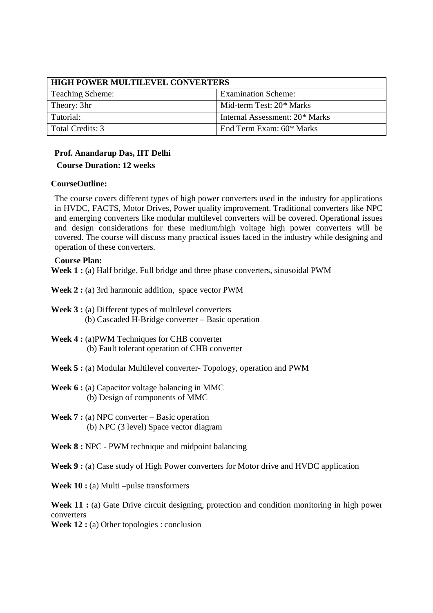| <b>HIGH POWER MULTILEVEL CONVERTERS</b> |                                |
|-----------------------------------------|--------------------------------|
| Teaching Scheme:                        | <b>Examination Scheme:</b>     |
| Theory: 3hr                             | Mid-term Test: 20* Marks       |
| Tutorial:                               | Internal Assessment: 20* Marks |
| Total Credits: 3                        | End Term Exam: 60* Marks       |

### **Prof. Anandarup Das, IIT Delhi Course Duration: 12 weeks**

#### **CourseOutline:**

The course covers different types of high power converters used in the industry for applications in HVDC, FACTS, Motor Drives, Power quality improvement. Traditional converters like NPC and emerging converters like modular multilevel converters will be covered. Operational issues and design considerations for these medium/high voltage high power converters will be covered. The course will discuss many practical issues faced in the industry while designing and operation of these converters.

#### **Course Plan:**

**Week 1 :** (a) Half bridge, Full bridge and three phase converters, sinusoidal PWM

**Week 2 :** (a) 3rd harmonic addition, space vector PWM

- **Week 3 :** (a) Different types of multilevel converters (b) Cascaded H-Bridge converter – Basic operation
- **Week 4 :** (a)PWM Techniques for CHB converter (b) Fault tolerant operation of CHB converter

**Week 5 :** (a) Modular Multilevel converter- Topology, operation and PWM

**Week 6 :** (a) Capacitor voltage balancing in MMC (b) Design of components of MMC

**Week 7 :** (a) NPC converter – Basic operation (b) NPC (3 level) Space vector diagram

**Week 8 :** NPC - PWM technique and midpoint balancing

**Week 9 :** (a) Case study of High Power converters for Motor drive and HVDC application

**Week 10 :** (a) Multi –pulse transformers

Week 11 : (a) Gate Drive circuit designing, protection and condition monitoring in high power converters

**Week 12 :** (a) Other topologies : conclusion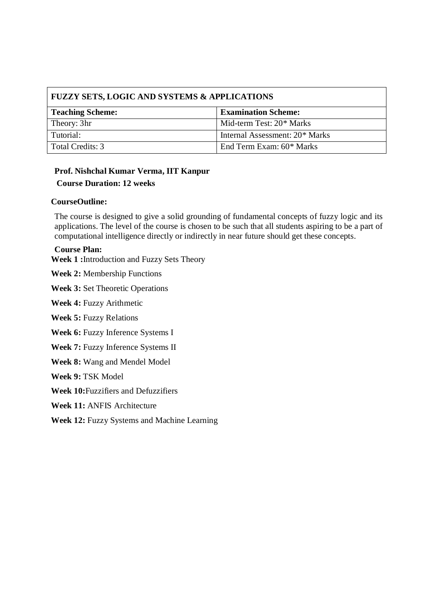| <b>FUZZY SETS, LOGIC AND SYSTEMS &amp; APPLICATIONS</b> |                                |  |
|---------------------------------------------------------|--------------------------------|--|
| Teaching Scheme:                                        | <b>Examination Scheme:</b>     |  |
| Theory: 3hr                                             | Mid-term Test: 20* Marks       |  |
| Tutorial:                                               | Internal Assessment: 20* Marks |  |
| Total Credits: 3                                        | End Term Exam: 60* Marks       |  |

## **Prof. Nishchal Kumar Verma, IIT Kanpur**

### **Course Duration: 12 weeks**

#### **CourseOutline:**

The course is designed to give a solid grounding of fundamental concepts of fuzzy logic and its applications. The level of the course is chosen to be such that all students aspiring to be a part of computational intelligence directly or indirectly in near future should get these concepts.

#### **Course Plan:**

**Week 1 :**Introduction and Fuzzy Sets Theory

**Week 2:** Membership Functions

**Week 3:** Set Theoretic Operations

**Week 4:** Fuzzy Arithmetic

**Week 5:** Fuzzy Relations

**Week 6:** Fuzzy Inference Systems I

**Week 7:** Fuzzy Inference Systems II

**Week 8:** Wang and Mendel Model

**Week 9:** TSK Model

**Week 10:**Fuzzifiers and Defuzzifiers

**Week 11:** ANFIS Architecture

**Week 12:** Fuzzy Systems and Machine Learning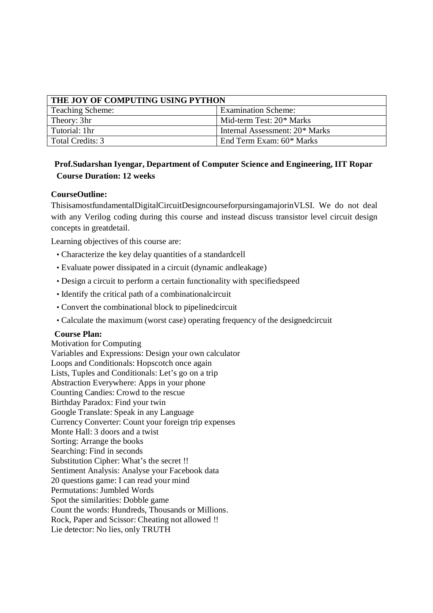| THE JOY OF COMPUTING USING PYTHON |                                |
|-----------------------------------|--------------------------------|
| <b>Teaching Scheme:</b>           | <b>Examination Scheme:</b>     |
| Theory: 3hr                       | Mid-term Test: 20* Marks       |
| Tutorial: 1hr                     | Internal Assessment: 20* Marks |
| Total Credits: 3                  | End Term Exam: 60* Marks       |

### **Prof.Sudarshan Iyengar, Department of Computer Science and Engineering, IIT Ropar Course Duration: 12 weeks**

### **CourseOutline:**

ThisisamostfundamentalDigitalCircuitDesigncourseforpursingamajorinVLSI. We do not deal with any Verilog coding during this course and instead discuss transistor level circuit design concepts in greatdetail.

Learning objectives of this course are:

- Characterize the key delay quantities of a standardcell
- Evaluate power dissipated in a circuit (dynamic andleakage)
- Design a circuit to perform a certain functionality with specifiedspeed
- Identify the critical path of a combinationalcircuit
- Convert the combinational block to pipelinedcircuit
- Calculate the maximum (worst case) operating frequency of the designedcircuit

#### **Course Plan:**

Motivation for Computing Variables and Expressions: Design your own calculator Loops and Conditionals: Hopscotch once again Lists, Tuples and Conditionals: Let's go on a trip Abstraction Everywhere: Apps in your phone Counting Candies: Crowd to the rescue Birthday Paradox: Find your twin Google Translate: Speak in any Language Currency Converter: Count your foreign trip expenses Monte Hall: 3 doors and a twist Sorting: Arrange the books Searching: Find in seconds Substitution Cipher: What's the secret !! Sentiment Analysis: Analyse your Facebook data 20 questions game: I can read your mind Permutations: Jumbled Words Spot the similarities: Dobble game Count the words: Hundreds, Thousands or Millions. Rock, Paper and Scissor: Cheating not allowed !! Lie detector: No lies, only TRUTH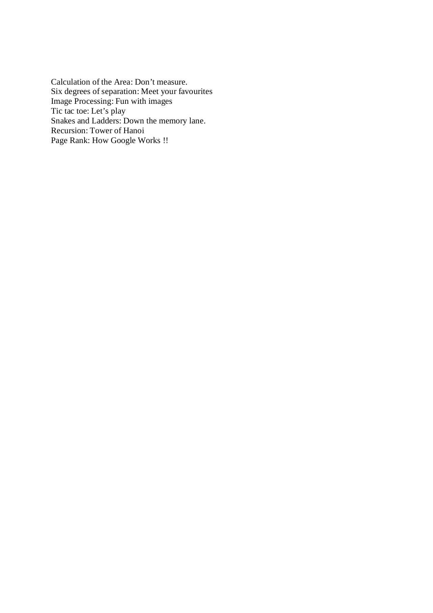Calculation of the Area: Don't measure. Six degrees of separation: Meet your favourites Image Processing: Fun with images Tic tac toe: Let's play Snakes and Ladders: Down the memory lane. Recursion: Tower of Hanoi Page Rank: How Google Works !!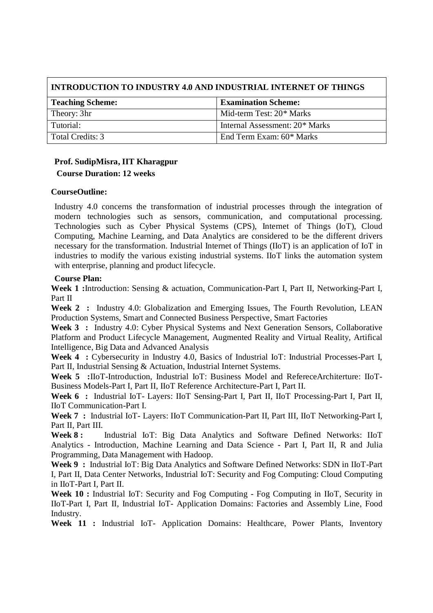| INTRODUCTION TO INDUSTRY 4.0 AND INDUSTRIAL INTERNET OF THINGS |                                |  |
|----------------------------------------------------------------|--------------------------------|--|
| <b>Examination Scheme:</b><br><b>Teaching Scheme:</b>          |                                |  |
| Theory: 3hr                                                    | Mid-term Test: 20* Marks       |  |
| Tutorial:                                                      | Internal Assessment: 20* Marks |  |
| Total Credits: 3                                               | End Term Exam: 60* Marks       |  |

# **Prof. SudipMisra, IIT Kharagpur**

### **Course Duration: 12 weeks**

#### **CourseOutline:**

Industry 4.0 concerns the transformation of industrial processes through the integration of modern technologies such as sensors, communication, and computational processing. Technologies such as Cyber Physical Systems (CPS), Internet of Things (IoT), Cloud Computing, Machine Learning, and Data Analytics are considered to be the different drivers necessary for the transformation. Industrial Internet of Things (IIoT) is an application of IoT in industries to modify the various existing industrial systems. IIoT links the automation system with enterprise, planning and product lifecycle.

#### **Course Plan:**

**Week 1 :**Introduction: Sensing & actuation, Communication-Part I, Part II, Networking-Part I, Part II

**Week 2 :** Industry 4.0: Globalization and Emerging Issues, The Fourth Revolution, LEAN Production Systems, Smart and Connected Business Perspective, Smart Factories

**Week 3 :** Industry 4.0: Cyber Physical Systems and Next Generation Sensors, Collaborative Platform and Product Lifecycle Management, Augmented Reality and Virtual Reality, Artifical Intelligence, Big Data and Advanced Analysis

**Week 4 :** Cybersecurity in Industry 4.0, Basics of Industrial IoT: Industrial Processes-Part I, Part II, Industrial Sensing & Actuation, Industrial Internet Systems.

Week 5 :IIoT-Introduction, Industrial IoT: Business Model and RefereceArchiterture: IIoT-Business Models-Part I, Part II, IIoT Reference Architecture-Part I, Part II.

**Week 6 :** Industrial IoT- Layers: IIoT Sensing-Part I, Part II, IIoT Processing-Part I, Part II, IIoT Communication-Part I.

**Week 7 :** Industrial IoT- Layers: IIoT Communication-Part II, Part III, IIoT Networking-Part I, Part II, Part III.

**Week 8 :** Industrial IoT: Big Data Analytics and Software Defined Networks: IIoT Analytics - Introduction, Machine Learning and Data Science - Part I, Part II, R and Julia Programming, Data Management with Hadoop.

**Week 9 :** Industrial IoT: Big Data Analytics and Software Defined Networks: SDN in IIoT-Part I, Part II, Data Center Networks, Industrial IoT: Security and Fog Computing: Cloud Computing in IIoT-Part I, Part II.

Week 10 : Industrial IoT: Security and Fog Computing - Fog Computing in IIoT, Security in IIoT-Part I, Part II, Industrial IoT- Application Domains: Factories and Assembly Line, Food Industry.

**Week 11 :** Industrial IoT- Application Domains: Healthcare, Power Plants, Inventory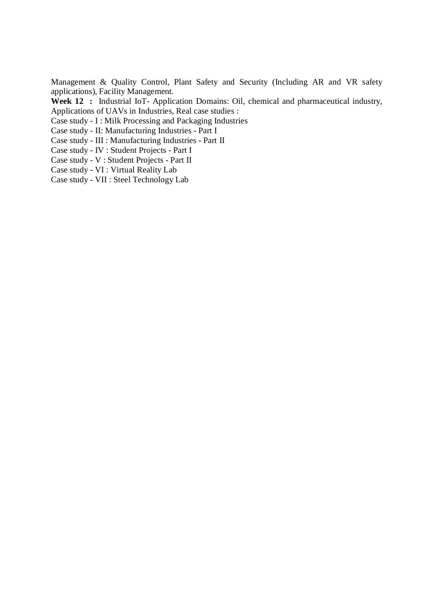Management & Quality Control, Plant Safety and Security (Including AR and VR safety applications), Facility Management.

**Week 12 :** Industrial IoT- Application Domains: Oil, chemical and pharmaceutical industry, Applications of UAVs in Industries, Real case studies :

Case study - I : Milk Processing and Packaging Industries

Case study - II: Manufacturing Industries - Part I

Case study - III : Manufacturing Industries - Part II

Case study - IV : Student Projects - Part I

Case study - V : Student Projects - Part II

Case study - VI : Virtual Reality Lab

Case study - VII : Steel Technology Lab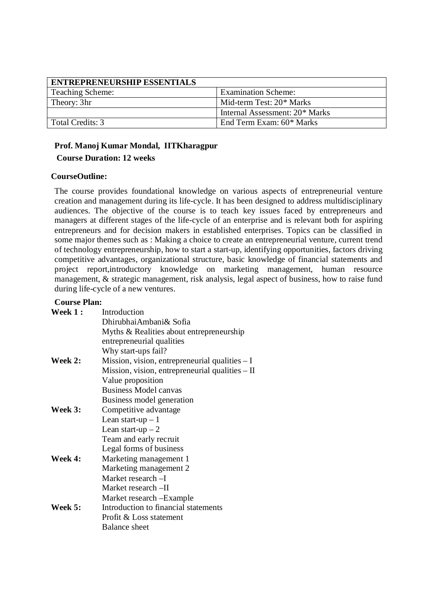| <b>ENTREPRENEURSHIP ESSENTIALS</b> |                                |
|------------------------------------|--------------------------------|
| <b>Teaching Scheme:</b>            | <b>Examination Scheme:</b>     |
| Theory: 3hr                        | Mid-term Test: 20* Marks       |
|                                    | Internal Assessment: 20* Marks |
| Total Credits: 3                   | End Term Exam: 60* Marks       |

### **Prof. Manoj Kumar Mondal, IITKharagpur Course Duration: 12 weeks**

#### **CourseOutline:**

The course provides foundational knowledge on various aspects of entrepreneurial venture creation and management during its life-cycle. It has been designed to address multidisciplinary audiences. The objective of the course is to teach key issues faced by entrepreneurs and managers at different stages of the life-cycle of an enterprise and is relevant both for aspiring entrepreneurs and for decision makers in established enterprises. Topics can be classified in some major themes such as : Making a choice to create an entrepreneurial venture, current trend of technology entrepreneurship, how to start a start-up, identifying opportunities, factors driving competitive advantages, organizational structure, basic knowledge of financial statements and project report,introductory knowledge on marketing management, human resource management, & strategic management, risk analysis, legal aspect of business, how to raise fund during life-cycle of a new ventures.

#### **Course Plan:**

| Week 1:        | Introduction                                      |
|----------------|---------------------------------------------------|
|                | Dhirubhai Ambani & Sofia                          |
|                | Myths & Realities about entrepreneurship          |
|                | entrepreneurial qualities                         |
|                | Why start-ups fail?                               |
| <b>Week 2:</b> | Mission, vision, entrepreneurial qualities $-I$   |
|                | Mission, vision, entrepreneurial qualities $-$ II |
|                | Value proposition                                 |
|                | <b>Business Model canvas</b>                      |
|                | Business model generation                         |
| Week 3:        | Competitive advantage                             |
|                | Lean start-up $-1$                                |
|                | Lean start-up $-2$                                |
|                | Team and early recruit                            |
|                | Legal forms of business                           |
| Week 4:        | Marketing management 1                            |
|                | Marketing management 2                            |
|                | Market research - I                               |
|                | Market research -II                               |
|                | Market research – Example                         |
| Week 5:        | Introduction to financial statements              |
|                | Profit & Loss statement                           |
|                | <b>Balance sheet</b>                              |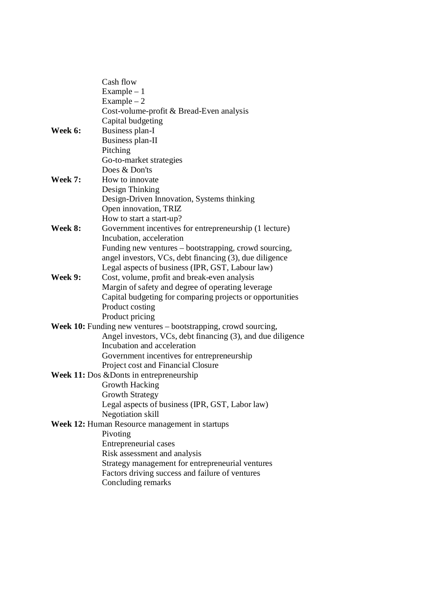|         | Cash flow                                                      |
|---------|----------------------------------------------------------------|
|         | $Example - 1$                                                  |
|         | $Example - 2$                                                  |
|         | Cost-volume-profit & Bread-Even analysis                       |
|         | Capital budgeting                                              |
| Week 6: | Business plan-I                                                |
|         | Business plan-II                                               |
|         | Pitching                                                       |
|         | Go-to-market strategies                                        |
|         | Does & Don'ts                                                  |
| Week 7: | How to innovate                                                |
|         | Design Thinking                                                |
|         | Design-Driven Innovation, Systems thinking                     |
|         | Open innovation, TRIZ                                          |
|         | How to start a start-up?                                       |
| Week 8: | Government incentives for entrepreneurship (1 lecture)         |
|         | Incubation, acceleration                                       |
|         | Funding new ventures - bootstrapping, crowd sourcing,          |
|         | angel investors, VCs, debt financing (3), due diligence        |
|         | Legal aspects of business (IPR, GST, Labour law)               |
| Week 9: | Cost, volume, profit and break-even analysis                   |
|         | Margin of safety and degree of operating leverage              |
|         | Capital budgeting for comparing projects or opportunities      |
|         | Product costing                                                |
|         | Product pricing                                                |
|         | Week 10: Funding new ventures - bootstrapping, crowd sourcing, |
|         | Angel investors, VCs, debt financing (3), and due diligence    |
|         | Incubation and acceleration                                    |
|         | Government incentives for entrepreneurship                     |
|         | Project cost and Financial Closure                             |
|         | Week 11: Dos & Donts in entrepreneurship                       |
|         | Growth Hacking                                                 |
|         | <b>Growth Strategy</b>                                         |
|         | Legal aspects of business (IPR, GST, Labor law)                |
|         | Negotiation skill                                              |
|         | Week 12: Human Resource management in startups                 |
|         | Pivoting                                                       |
|         | Entrepreneurial cases                                          |
|         | Risk assessment and analysis                                   |
|         | Strategy management for entrepreneurial ventures               |
|         | Factors driving success and failure of ventures                |
|         | Concluding remarks                                             |
|         |                                                                |